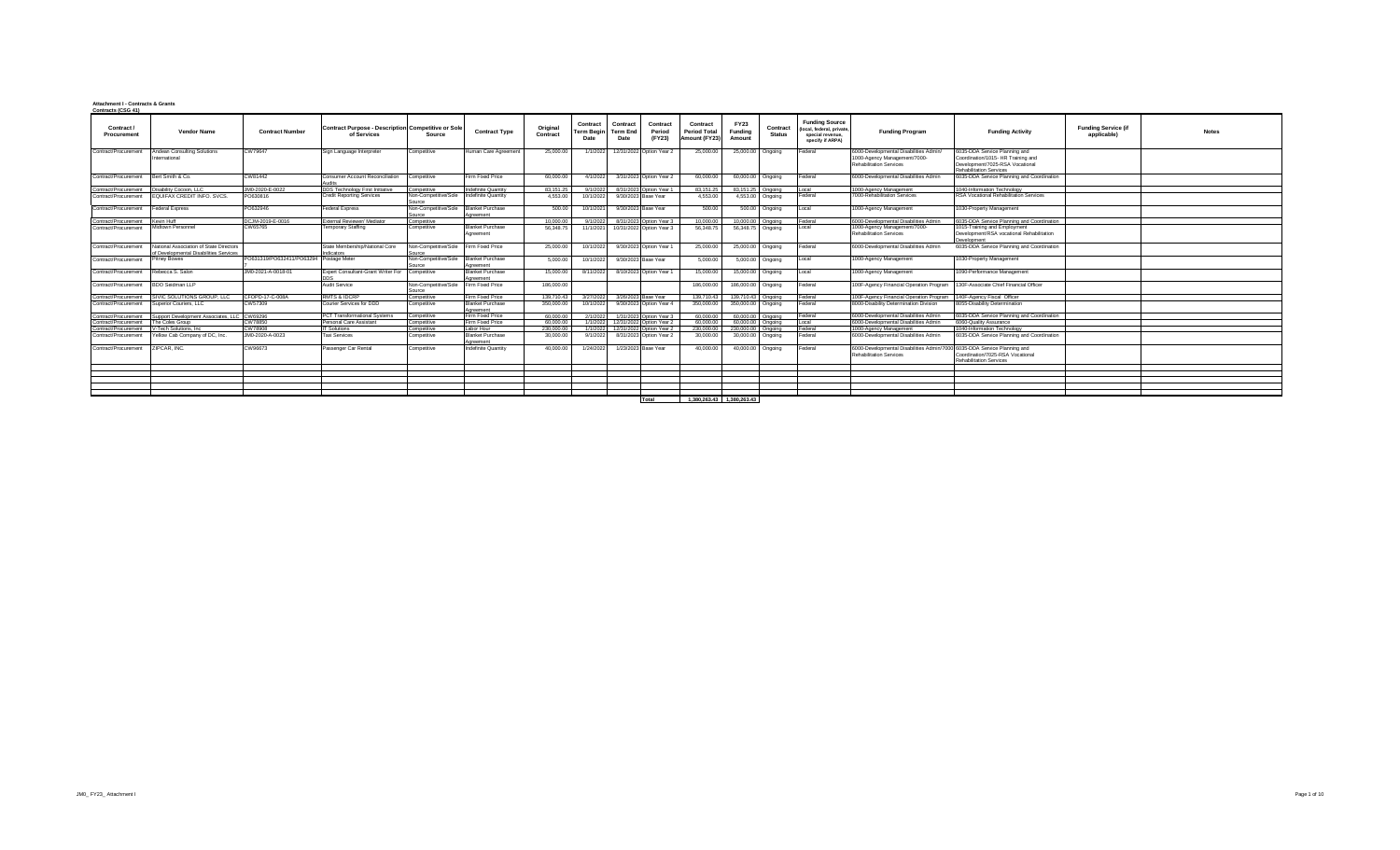## **Attachment I - Contracts & Grants Contracts (CSG 41)**

| JUIN dub (COU 41)                      |                                                                                   |                                         |                                                                          |                                                 |                                      |                      |                                       |                                     |                              |                                                  |                                  |                           |                                                                                            |                                                                                                          |                                                                                                                                          |                                           |              |
|----------------------------------------|-----------------------------------------------------------------------------------|-----------------------------------------|--------------------------------------------------------------------------|-------------------------------------------------|--------------------------------------|----------------------|---------------------------------------|-------------------------------------|------------------------------|--------------------------------------------------|----------------------------------|---------------------------|--------------------------------------------------------------------------------------------|----------------------------------------------------------------------------------------------------------|------------------------------------------------------------------------------------------------------------------------------------------|-------------------------------------------|--------------|
| Contract /<br>Procurement              | <b>Vendor Name</b>                                                                | <b>Contract Number</b>                  | <b>Contract Purpose - Description Competitive or Sole</b><br>of Services | Source                                          | <b>Contract Type</b>                 | Original<br>Contract | Contract<br><b>Term Beain</b><br>Date | Contract<br><b>Term End</b><br>Date | Contract<br>Period<br>(FY23) | Contract<br><b>Period Total</b><br>Amount (FY23) | <b>FY23</b><br>Fundina<br>Amount | Contract<br><b>Status</b> | <b>Funding Source</b><br>(local, federal, private,<br>special revenue.<br>specify if ARPA) | <b>Funding Program</b>                                                                                   | <b>Funding Activity</b>                                                                                                                  | <b>Funding Service (if</b><br>applicable) | <b>Notes</b> |
| Contract/Procurement                   | Andean Consulting Solutions<br>International                                      | CW79647                                 | Sign Language Interpreter                                                | Competitive                                     | Human Care Agreement                 | 25,000.00            |                                       | 1/1/2022 12/31/2022 Option Year 2   |                              | 25,000.00                                        | 25,000.00 Ongoing                |                           | Federal                                                                                    | 6000-Developmental Disabilities Admin/<br>1000-Agency Management/7000-<br><b>Rehabilitation Services</b> | 6035-DDA Service Planning and<br>Coordination/1015- HR Training and<br>Development/7025-RSA Vocational<br><b>Rehabilitation Services</b> |                                           |              |
| Contract/Procurement                   | Bert Smith & Co.                                                                  | CW81442                                 | Consumer Account Reconciliation                                          | Competitive                                     | Firm Fixed Price                     | 60,000.00            | 4/1/2022                              | 3/31/2023 Option Year 2             |                              | 60,000.00                                        | 60,000.00 Ongoing                |                           | Federal                                                                                    | 6000-Developmental Disabilities Admin                                                                    | 6035-DDA Service Planning and Coordination                                                                                               |                                           |              |
| Contract/Procurement                   | Disability Cocoon, LLC                                                            | JM0-2020-E-0022                         | DDS Technology First Initiative                                          | competitive                                     | Indefinite Quantity                  | 83.151.25            | 9/1/2022                              | 8/31/2023 Ontion Year 1             |                              | 83 151 25                                        | 83 151 25 Ongoing                |                           | ocal                                                                                       | 1000-Agency Management                                                                                   | 1040-Information Technology                                                                                                              |                                           |              |
| Contract/Procurement                   | EQUIFAX CREDIT INFO. SVCS.                                                        | PO630816                                | <b>Credit Reporting Services</b>                                         | Non-Competitive/Sole                            | Indefinite Quantity                  | 4,553.00             | 10/1/2022                             | 9/30/2023 Base Year                 |                              | 4,553.00                                         |                                  | 4,553.00 Ongoing          | Federal                                                                                    | 7000-Rehabilitation Services                                                                             | RSA Vocational Rehabilitation Services                                                                                                   |                                           |              |
| Contract/Procurement                   | <b>Federal Express</b>                                                            | PO632946                                | Federal Express                                                          | Non-Competitive/Sole Blanket Purchase<br>Source | Agreement                            | 500.00               | 10/1/2021                             | 9/30/2023 Base Year                 |                              | 500.00                                           |                                  | 500.00 Ongoing            | Local                                                                                      | 1000-Agency Management                                                                                   | 1030-Property Management                                                                                                                 |                                           |              |
| Contract/Procurement Kevin Huff        |                                                                                   | DCJM-2019-E-0016                        | xternal Reviewer/ Mediator                                               | Competitive                                     |                                      | 10,000.00            | 9/1/2022                              | 8/31/2023 Option Year 3             |                              | 10,000.00                                        | 10,000.00                        | Onanina                   | Federal                                                                                    | 6000-Developmental Disabilities Admin                                                                    | 6035-DDA Service Planning and Coordination                                                                                               |                                           |              |
| Contract/Procurement Midtown Personnel |                                                                                   | CW65765                                 | Temporary Staffing                                                       | Competitive                                     | <b>Blanket Purchase</b><br>Agreement | 56,348.75            |                                       | 11/1/2021 10/31/2022 Option Year 3  |                              | 56,348.75                                        | 56,348.75 Ongoing                |                           | Local                                                                                      | 1000-Agency Management/7000-<br><b>Rehabilitation Services</b>                                           | 1015-Training and Employment<br>Development/RSA vocational Rehabilitation<br>Development                                                 |                                           |              |
| Contract/Procurement                   | National Association of State Directors<br>of Developmental Disabilities Services |                                         | State Membership/National Core<br>Indicators                             | Non-Competitive/Sole<br>Source                  | Firm Fixed Price                     | 25,000.00            |                                       | 10/1/2022 9/30/2023 Option Year 1   |                              | 25,000.00                                        | 25,000.00 Ongoing                |                           | Federal                                                                                    | 6000-Developmental Disabilities Admin                                                                    | 6035-DDA Service Planning and Coordination                                                                                               |                                           |              |
| Contract/Procurement                   | <b>Pitney Bowes</b>                                                               | PO631319/PO632411/PO63294 Postage Meter |                                                                          | Non-Competitive/Sole                            | Blanket Purchase<br>Agreement        | 5.000.00             | 10/1/2022                             | 9/30/2023 Base Year                 |                              | 5.000.00                                         | 5,000.00 Ongoing                 |                           | Local                                                                                      | 1000-Agency Management                                                                                   | 1030-Property Management                                                                                                                 |                                           |              |
| Contract/Procurement                   | Rebecca S. Salon                                                                  | JM0-2021-A-0018-01                      | Expert Consultant-Grant Writer For Competitive                           |                                                 | <b>Blanket Purchase</b><br>Agreement | 15,000.00            |                                       | 8/11/2022 8/10/2023 Option Year 1   |                              | 15,000.00                                        | 15,000.00 Ongoing                |                           | Local                                                                                      | 1000-Agency Management                                                                                   | 1090-Performance Management                                                                                                              |                                           |              |
| Contract/Procurement                   | BDO Seidman LLP                                                                   |                                         | <b>Audit Service</b>                                                     | Non-Competitive/Sole Firm Fixed Price<br>Source |                                      | 186,000.00           |                                       |                                     |                              | 186,000.00                                       | 186,000.00 Ongoing               |                           | Federal                                                                                    | 100F-Agency Financial Operation Program                                                                  | 130F-Associate Chief Financial Officer                                                                                                   |                                           |              |
| Contract/Procurement                   | SIVIC SOLUTIONS GROUP, LLC                                                        | CFOPD-17-C-008A                         | RMTS & IDCRP                                                             | Competitive                                     | Firm Fixed Price                     | 139,710.43           |                                       | 3/27/2022 3/26/2023 Base Year       |                              | 139,710.43                                       | 139,710.43                       | Onanina                   | Federal                                                                                    | 100F-Agency Financial Operation Program                                                                  | 140F-Agency Fiscal Officer                                                                                                               |                                           |              |
| Contract/Procurement                   | Superior Couriers, LLC                                                            | CW57309                                 | Courier Services for DDD                                                 | Competitive                                     | <b>Blanket Purchase</b><br>Agreement | 350,000.00           | 10/1/2022                             | 9/30/2023 Option Year 4             |                              | 350,000.00                                       | 350,000.00 Ongoing               |                           | Federal                                                                                    | 8000-Disability Determination Division                                                                   | 8055-Disability Determination                                                                                                            |                                           |              |
| Contract/Procurement                   | Support Development Associates 11C                                                | CW69296                                 | <b>PCT Transformational Systems</b>                                      | Competitive                                     | Firm Fixed Price                     | 60,000.00            | 2/1/2022                              | 1/31/2023 Option Year 3             |                              | 60,000.00                                        | 60,000,00 Ongoing                |                           | Federal                                                                                    | 6000-Developmental Disabilities Admin                                                                    | 6035-DDA Service Planning and Coordination                                                                                               |                                           |              |
| Contract/Procurement The Coles Group   |                                                                                   | CW78850                                 | ersonal Care Assistant                                                   | Competitive                                     | Firm Fixed Price                     | 60,000.00            |                                       | 1/1/2022 12/31/2022 Option Year 2   |                              | 60,000.00                                        | 60,000.00 Ongoing                |                           | ocal                                                                                       | 6000-Developmental Disabilities Admin                                                                    | 6060-Quality Assurance                                                                                                                   |                                           |              |
| Contract/Procurement                   | V-Tech Solutions Inc.                                                             | CW78908                                 | <b>T</b> Solutions                                                       | competitive                                     | Labor Hour                           | 230,000.00           |                                       | 1/1/2022 12/31/2022 Option Year 2   |                              | 230,000.00                                       | 230,000.00                       | Onanina                   | Federal                                                                                    | 1000-Agency Management                                                                                   | 1040-Information Technology                                                                                                              |                                           |              |
|                                        | Contract/Procurement Yellow Cab Company of DC, Inc.                               | JM0-2020-A-0023                         | <b>Taxi Services</b>                                                     | Competitive                                     | <b>Blanket Purchase</b><br>Agreement | 30,000.00            |                                       | 9/1/2022 8/31/2023 Option Year 2    |                              | 30,000.00                                        | 30,000.00 Ongoing                |                           | Federal                                                                                    | 6000-Developmental Disabilities Admin                                                                    | 6035-DDA Service Planning and Coordination                                                                                               |                                           |              |
| Contract/Procurement ZIPCAR, INC.      |                                                                                   | CW96673                                 | Passenger Car Rental                                                     | Competitive                                     | Indefinite Quantity                  | 40.000.00            | 1/24/2022                             | 1/23/2023 Base Year                 |                              | 40,000.00                                        | 40,000,00 Ongoing                |                           | Federal                                                                                    | 6000-Developmental Disabilities Admin/7000<br><b>Rehabilitation Services</b>                             | 6035-DDA Service Planning and<br>Coordination/7025-RSA Vocational<br><b>Rehabilitation Services</b>                                      |                                           |              |
|                                        |                                                                                   |                                         |                                                                          |                                                 |                                      |                      |                                       |                                     |                              |                                                  |                                  |                           |                                                                                            |                                                                                                          |                                                                                                                                          |                                           |              |
|                                        |                                                                                   |                                         |                                                                          |                                                 |                                      |                      |                                       |                                     |                              |                                                  |                                  |                           |                                                                                            |                                                                                                          |                                                                                                                                          |                                           |              |
|                                        |                                                                                   |                                         |                                                                          |                                                 |                                      |                      |                                       |                                     |                              |                                                  |                                  |                           |                                                                                            |                                                                                                          |                                                                                                                                          |                                           |              |
|                                        |                                                                                   |                                         |                                                                          |                                                 |                                      |                      |                                       |                                     |                              |                                                  |                                  |                           |                                                                                            |                                                                                                          |                                                                                                                                          |                                           |              |
|                                        |                                                                                   |                                         |                                                                          |                                                 |                                      |                      |                                       |                                     |                              |                                                  |                                  |                           |                                                                                            |                                                                                                          |                                                                                                                                          |                                           |              |
|                                        |                                                                                   |                                         |                                                                          |                                                 |                                      |                      |                                       | Total                               |                              | 1.380.263.43 1.380.263.43                        |                                  |                           |                                                                                            |                                                                                                          |                                                                                                                                          |                                           |              |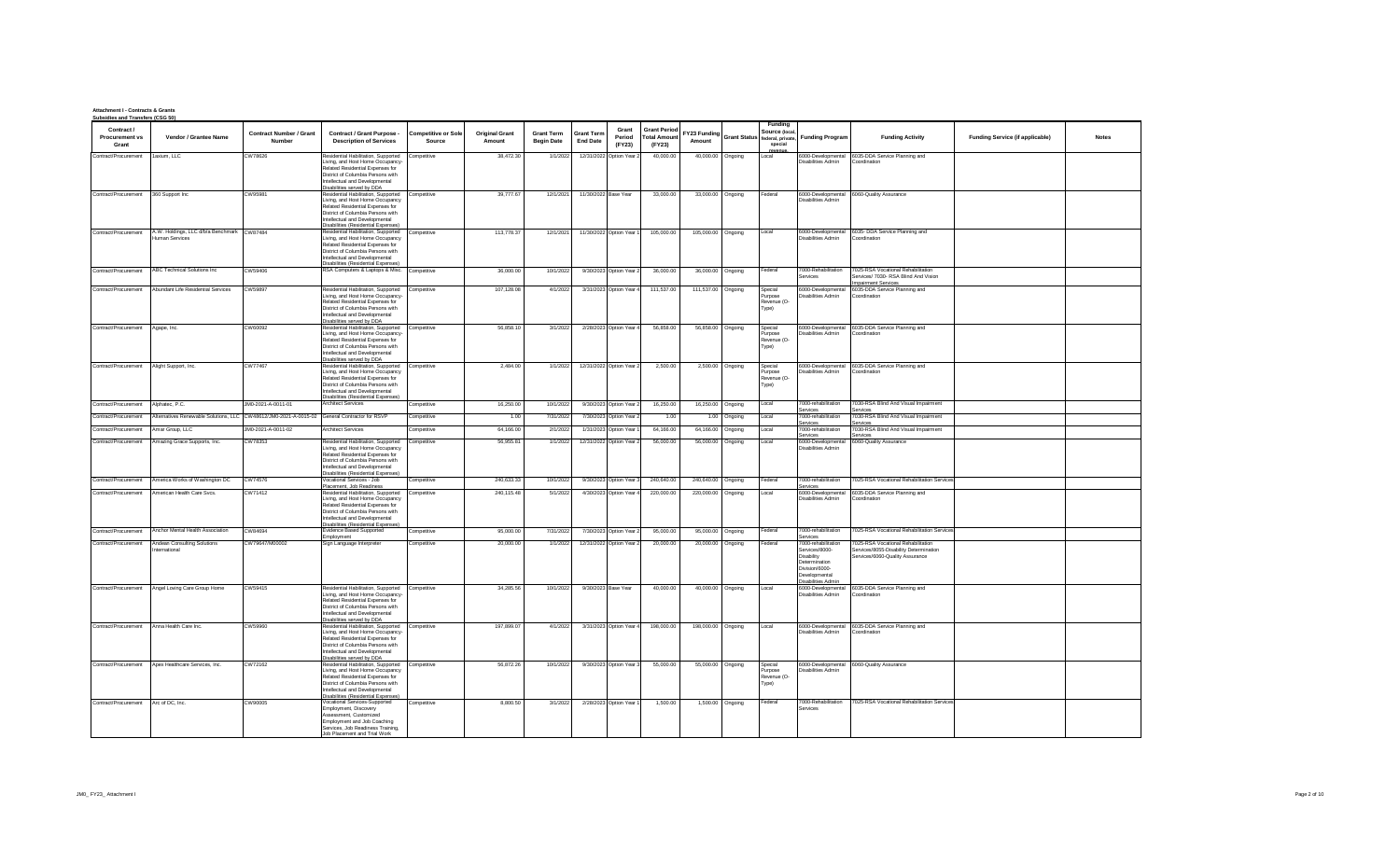## **Attachment I - Contracts & Grants Subsidies and Transfers (CSG 50)**

| Contract /<br><b>Procurement vs</b><br>Grant | Vendor / Grantee Name                                                                        | <b>Contract Number / Grant</b><br><b>Number</b> | Contract / Grant Purpose -<br><b>Description of Services</b>                                                                                                                                                                         | <b>Competitive or Sole</b><br>Source | <b>Original Grant</b><br>Amount | <b>Grant Term</b><br><b>Begin Date</b> | Grant<br><b>Grant Term</b><br>Period<br><b>End Date</b><br>(FY23) | <b>Grant Period</b><br><b>Total Amount</b><br>(FY23) | FY23 Funding<br>Amount |                    | Funding<br>Source (local<br>Grant Status federal, private,<br>special | <b>Funding Program</b>                                                                                                        | <b>Funding Activity</b>                                                                                         | <b>Funding Service (if applicable)</b> | <b>Notes</b> |
|----------------------------------------------|----------------------------------------------------------------------------------------------|-------------------------------------------------|--------------------------------------------------------------------------------------------------------------------------------------------------------------------------------------------------------------------------------------|--------------------------------------|---------------------------------|----------------------------------------|-------------------------------------------------------------------|------------------------------------------------------|------------------------|--------------------|-----------------------------------------------------------------------|-------------------------------------------------------------------------------------------------------------------------------|-----------------------------------------------------------------------------------------------------------------|----------------------------------------|--------------|
| Contract/Procurement 1axium, LLC             |                                                                                              | CW78626                                         | Residential Habilitation, Supported Competitive<br>Living, and Host Home Occupancy-                                                                                                                                                  |                                      | 38.472.30                       | 1/1/2022                               | 12/31/2022 Option Year 2                                          | 40,000.00                                            |                        | 40,000.00 Ongoing  | revenu<br>Local                                                       | Disabilities Admin                                                                                                            | 6000-Developmental 6035-DDA Service Planning and<br>Coordination                                                |                                        |              |
|                                              |                                                                                              |                                                 | Related Residential Expenses for<br>District of Columbia Persons with<br>Intellectual and Developmental<br>Disabilities served by DDA                                                                                                |                                      |                                 |                                        |                                                                   |                                                      |                        |                    |                                                                       |                                                                                                                               |                                                                                                                 |                                        |              |
| Contract/Procurement                         | 360 Support Inc                                                                              | CW95981                                         | Residential Habilitation, Supported<br>Living, and Host Home Occupancy<br>Related Residential Expenses for<br>District of Columbia Persons with<br>Intellectual and Developmental<br>Disabilities (Residential Expenses)             | Competitive                          | 39,777.67                       | 12/1/2021                              | 11/30/2022 Base Year                                              | 33,000.00                                            |                        | 33,000.00 Ongoing  | Federal                                                               | Disabilities Admin                                                                                                            | 6000-Developmental 6060-Quality Assurance                                                                       |                                        |              |
| Contract/Procurement                         | A.W. Holdings, LLC d/b/a Benchmark CW87484<br>Human Services                                 |                                                 | Residential Habilitation, Supported Competitive<br>Living, and Host Home Occupancy<br>Related Residential Expenses for<br>District of Columbia Persons with<br>Intellectual and Developmental<br>Disabilities (Residential Expenses) |                                      | 113 778 37                      | 12/1/2021                              | 11/30/2022 Option Year 1                                          | 105,000.00                                           |                        | 105,000.00 Ongoing | Local                                                                 | Disabilities Admin                                                                                                            | 6000-Developmental 6035-DDA Service Planning and<br>Coordination                                                |                                        |              |
| Contract/Procurement                         | ABC Technical Solutions Inc.                                                                 | CW59406                                         | RSA Computers & Laptops & Misc. Competitive                                                                                                                                                                                          |                                      | 36,000.00                       | 10/1/2022                              | 9/30/2023 Option Year 2                                           | 36,000.00                                            |                        | 36,000.00 Ongoing  | Federal                                                               | 7000-Rehabilitation<br>ervices                                                                                                | 7025-RSA Vocational Rehabilitation<br>Services/ 7030- RSA Blind And Vision<br>npairment Services                |                                        |              |
| Contract/Procurement                         | Abundant Life Residential Services                                                           | CW59897                                         | Residential Habilitation, Supported Competitive<br>Living, and Host Home Occupancy-<br>Related Residential Expenses for<br>District of Columbia Persons with<br>Intellectual and Developmental<br>Disabilities served by DDA         |                                      | 107,128.08                      | 4/1/2022                               | 3/31/2023 Option Year 4                                           | 111,537.00                                           | 111,537.00 Ongoing     |                    | Special<br>Purpose<br>Revenue (O-<br>Type)                            | 6000-Developmental<br>Disabilities Admin                                                                                      | 6035-DDA Service Planning and<br>Coordination                                                                   |                                        |              |
| Contract/Procurement                         | Agape, Inc.                                                                                  | CW60092                                         | Residential Habilitation, Supported Competitive<br>Living, and Host Home Occupancy-<br>Related Residential Expenses for<br>District of Columbia Persons with<br>Intellectual and Developmental<br>Disabilities served by DDA         |                                      | 56.858.10                       | 3/1/2022                               | 2/28/2023 Option Year 4                                           | 56,858.00                                            |                        | 56,858.00 Ongoing  | Special<br>urpose<br>Revenue (O-<br>Type)                             | Disabilities Admin                                                                                                            | 6000-Developmental 6035-DDA Service Planning and<br>Coordination                                                |                                        |              |
| Contract/Procurement                         | Alight Support, Inc.                                                                         | CW77467                                         | Residential Habilitation, Supported Competitive<br>Living, and Host Home Occupancy<br>Related Residential Expenses for<br>District of Columbia Persons with<br>Intellectual and Developmental<br>Disabilities (Residential Expenses) |                                      | 2,484.00                        | 1/1/2022                               | 12/31/2022 Option Year 2                                          | 2,500.00                                             |                        | 2,500.00 Ongoing   | Special<br>urpose<br>Revenue (O-<br>Type)                             | Disabilities Admin                                                                                                            | 6000-Developmental 6035-DDA Service Planning and<br>Coordination                                                |                                        |              |
| Contract/Procurement                         | Alphatec, P.C.                                                                               | JM0-2021-A-0011-01                              | <b>Architect Services</b>                                                                                                                                                                                                            | Competitive                          | 16,250.00                       | 10/1/2022                              | 9/30/2023 Option Year 2                                           | 16,250.00                                            |                        | 16,250.00 Ongoing  | Local                                                                 | '000-rehabilitation<br>Services                                                                                               | 7030-RSA Blind And Visual Impairment<br>Services                                                                |                                        |              |
| Contract/Procurement                         | Alternatives Renewable Solutions, LLC CW48612/JM0-2021-A-0015-02 General Contractor for RSVP |                                                 |                                                                                                                                                                                                                                      | Competitive                          | 1.00                            | 7/31/2022                              | 7/30/2023 Option Year 2                                           | 1.00                                                 |                        | 1.00 Ongoing       | ocal                                                                  | '000-rehabilitation                                                                                                           | 7030-RSA Blind And Visual Impairment                                                                            |                                        |              |
| Contract/Procurement                         | Amar Group, LLC                                                                              | JM0-2021-A-0011-02                              | <b>Architect Services</b>                                                                                                                                                                                                            | Competitive                          | 64,166.00                       | 2/1/2022                               | 1/31/2023 Option Year                                             | 64,166,00                                            |                        | 64,166.00 Ongoing  | ocal                                                                  | Services<br>'000-rehabilitation                                                                                               | Services<br>7030-RSA Blind And Visual Impairment                                                                |                                        |              |
| Contract/Procurement                         | Amazing Grace Supports, Inc.                                                                 | CW78353                                         | esidential Habilitation, Supported<br>Living, and Host Home Occupancy<br>Related Residential Expenses for<br>District of Columbia Persons with<br>Intellectual and Developmental<br><b>Disabilities (Residential Expenses)</b>       | Competitive                          | 56,955.81                       | 1/1/2022                               | 12/31/2022 Option Year 2                                          | 56,000.00                                            |                        | 56,000.00 Ongoing  | Local                                                                 | services<br><b>Disabilities Admin</b>                                                                                         | Services<br>6000-Developmental 6060-Quality Assurance                                                           |                                        |              |
| Contract/Procurement                         | America Works of Washington DC                                                               | CW74576                                         | Vocational Services - Job<br>Placement, Job Readiness                                                                                                                                                                                | Competitive                          | 240.633.33                      | 10/1/2022                              | 9/30/2023 Option Year 3                                           | 240,640.00                                           | 240,640.00 Ongoing     |                    | Federal                                                               | 7000-rehabilitation<br>Services                                                                                               | 7025-RSA Vocational Rehabilitation Services                                                                     |                                        |              |
| Contract/Procurement                         | American Health Care Svcs.                                                                   | CW71412                                         | Residential Habilitation, Supported<br>Living, and Host Home Occupancy<br>Related Residential Expenses for<br>District of Columbia Persons with<br>Intellectual and Developmental<br>Disabilities (Residential Expenses)             | Competitive                          | 240,115.48                      | 5/1/2022                               | 4/30/2023 Option Year 4                                           | 220,000.00                                           | 220,000.00 Ongoing     |                    | Local                                                                 | Disabilities Admin                                                                                                            | 6000-Developmental 6035-DDA Service Planning and<br>Coordination                                                |                                        |              |
| Contract/Procurement                         | Anchor Mental Health Association                                                             | CW84694                                         | <b>Evidence Based Supported</b><br>Employment                                                                                                                                                                                        | Competitive                          | 95,000.00                       | 7/31/2022                              | 7/30/2023 Option Year 2                                           | 95,000.00                                            | 95,000.00 Ongoing      |                    | Federal                                                               | 7000-rehabilitation<br>Services                                                                                               | 7025-RSA Vocational Rehabilitation Services                                                                     |                                        |              |
| Contract/Procurement                         | Andean Consulting Solutions<br>nternational                                                  | CW79647/M00002                                  | Sign Language Interpreter                                                                                                                                                                                                            | Competitive                          | 20,000.00                       | 1/1/2022                               | 12/31/2022 Option Year 2                                          | 20,000.00                                            |                        | 20,000.00 Ongoing  | Federal                                                               | 7000-rehabilitation<br>Services/8000-<br>Disability<br>Determination<br>Division/6000-<br>Developmental<br>Disabilities Admin | 7025-RSA Vocational Rehabilitation<br>Services/8055-Disability Determination<br>Services/6060-Quality Assurance |                                        |              |
| Contract/Procurement                         | Angel Loving Care Group Home                                                                 | CW59415                                         | Residential Habilitation, Supported Competitive<br>Living, and Host Home Occupancy-<br>Related Residential Expenses for<br>District of Columbia Persons with<br>Intellectual and Developmental<br>Disabilities served by DDA         |                                      | 34,285.56                       | 10/1/2022                              | 9/30/2023 Base Year                                               | 40,000.00                                            |                        | 40,000.00 Ongoing  | Local                                                                 | Disabilities Admin                                                                                                            | 6000-Developmental 6035-DDA Service Planning and<br>Coordination                                                |                                        |              |
| Contract/Procurement Anna Health Care Inc    |                                                                                              | CW59960                                         | Residential Habilitation, Supported Competitive<br>Living, and Host Home Occupancy-<br>Related Residential Expenses for<br>District of Columbia Persons with<br>Intellectual and Developmental<br>Disabilities served by DDA         |                                      | 197.899.07                      | 4/1/2022                               | 3/31/2023 Option Year 4                                           | 198,000.00                                           | 198,000.00 Ongoing     |                    | Local                                                                 | Disabilities Admin                                                                                                            | 6000-Developmental 6035-DDA Service Planning and<br>Coordination                                                |                                        |              |
| Contract/Procurement                         | Apex Healthcare Services, Inc.                                                               | CW72162                                         | Residential Habilitation, Supported Competitive<br>Living, and Host Home Occupancy<br>Related Residential Expenses for<br>District of Columbia Persons with<br>Intellectual and Developmental<br>Disabilities (Residential Expenses) |                                      | 56,872.26                       | 10/1/2022                              | 9/30/2023 Option Year 3                                           | 55,000.00                                            |                        | 55,000.00 Ongoing  | Special<br><sup>2</sup> urpose<br>Revenue (O-<br>Type)                | Disabilities Admin                                                                                                            | 6000-Developmental 6060-Quality Assurance                                                                       |                                        |              |
| Contract/Procurement Arc of DC, Inc.         |                                                                                              | CW90005                                         | Vocational Services-Supported<br>Employment, Discovery<br>Assessment, Customized<br>Employment and Job Coaching<br>Services, Job Readiness Training,<br>lob Placement and Trial Work                                                 | Competitive                          | 8.800.50                        | 3/1/2022                               | 2/28/2023 Option Year 1                                           | 1,500.00                                             |                        | 1,500.00 Ongoing   | Federal                                                               | 7000-Rehabilitation<br>Services                                                                                               | 7025-RSA Vocational Rehabilitation Services                                                                     |                                        |              |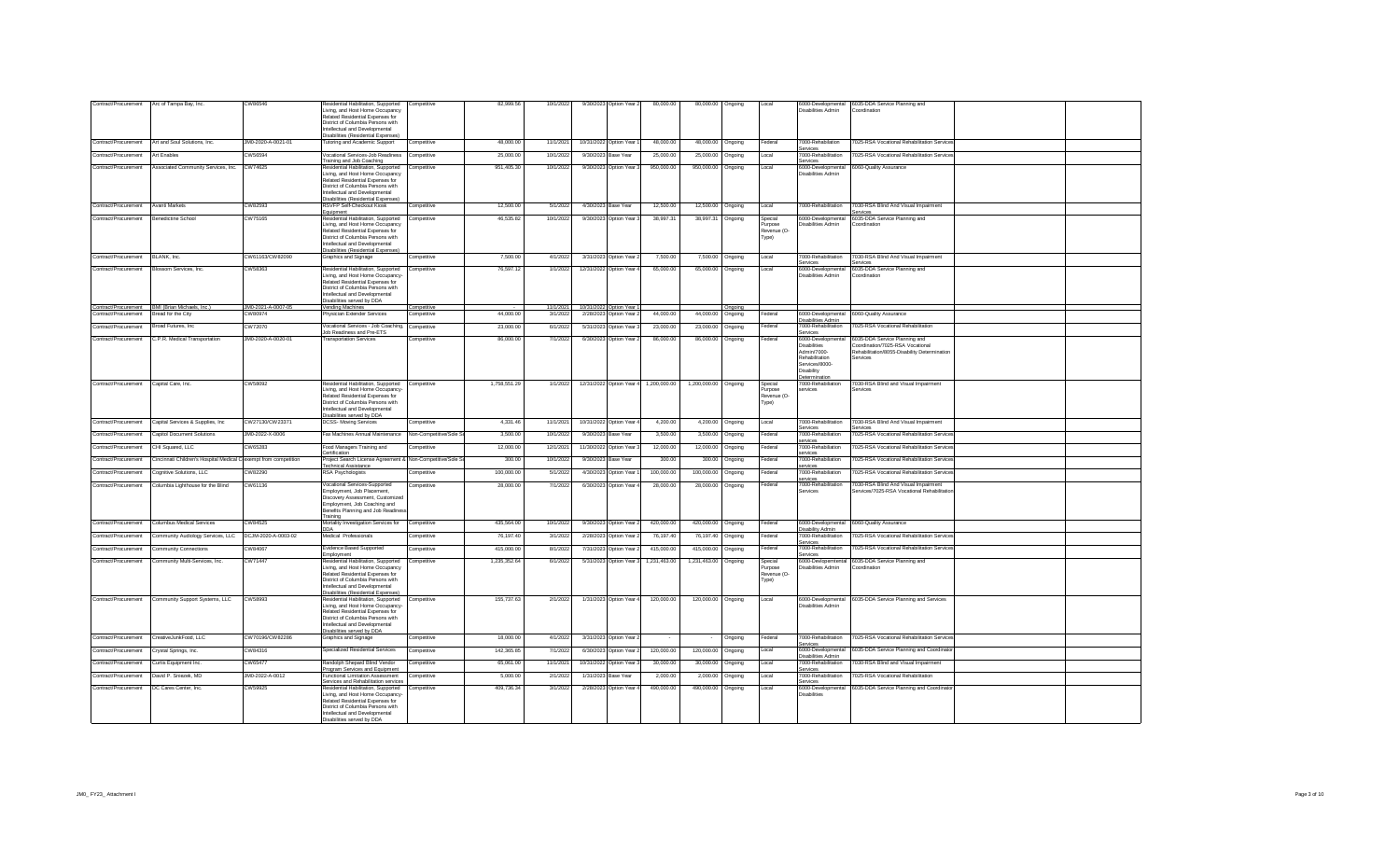| Contract/Procurement | Arc of Tampa Bay, Inc.                                           | CW86546            | Residential Habilitation, Supported<br>Living, and Host Home Occupancy<br>Related Residential Expenses for<br>District of Columbia Persons with<br>ntellectual and Developmental                                         | Competitive            | 82,999.56    | 10/1/2022 |                        | 9/30/2023 Option Year 2               | 80,000.00    | 80,000.00 Ongoing    |         | Local                                      | 6000-Developmental<br>Disabilities Admin                                                             | 6035-DDA Service Planning and<br>Coordination                                                |  |
|----------------------|------------------------------------------------------------------|--------------------|--------------------------------------------------------------------------------------------------------------------------------------------------------------------------------------------------------------------------|------------------------|--------------|-----------|------------------------|---------------------------------------|--------------|----------------------|---------|--------------------------------------------|------------------------------------------------------------------------------------------------------|----------------------------------------------------------------------------------------------|--|
| Contract/Procurement | Art and Soul Solutions, Inc.                                     | JM0-2020-A-0021-01 | isabilities (Residential Expenses)<br><b>Tutoring and Academic Support</b>                                                                                                                                               | Competitive            | 48,000.00    | 11/1/2021 | 10/31/2022 Option Year |                                       | 48,000.00    | 48,000.00 Ongoing    |         | Federal                                    | 7000-Rehabilation                                                                                    | 7025-RSA Vocational Rehabilitation Services                                                  |  |
| Contract/Procurement | Art Enables                                                      | CW56594            | Vocational Services-Job Readiness<br>Training and Job Coaching                                                                                                                                                           | Competitive            | 25,000.00    | 10/1/2022 | 9/30/2023 Base Year    |                                       | 25,000.00    | 25,000.00            | Ongoing | Local                                      | Services<br>7000-Rehabilitation<br>Services                                                          | 7025-RSA Vocational Rehabilitation Services                                                  |  |
| Contract/Procurement | Associated Community Services, Inc. CW74625                      |                    | Residential Habilitation, Supported<br>Living, and Host Home Occupancy                                                                                                                                                   | Competitive            | 951 405 30   | 10/1/2022 |                        | 9/30/2023 Option Year 3               | 950,000.00   | 950,000.00 Ongoing   |         | Local                                      | 6000-Developmental<br><b>Disabilities Admin</b>                                                      | 6060-Quality Assurance                                                                       |  |
|                      |                                                                  |                    | Related Residential Expenses for<br>District of Columbia Persons with<br>Intellectual and Developmental<br>Disabilities (Residential Expenses)                                                                           |                        |              |           |                        |                                       |              |                      |         |                                            |                                                                                                      |                                                                                              |  |
| Contract/Procurement | Avanti Markets                                                   | CW82593            | <b>RSVFP Self-Checkout Kiosk</b><br>quipment                                                                                                                                                                             | Competitive            | 12,500.00    | 5/1/2022  | 4/30/2023 Base Year    |                                       | 12,500.00    | 12,500.00 Ongoing    |         | Local                                      | 7000-Rehabilitation                                                                                  | 7030-RSA Blind And Visual Impairment                                                         |  |
| Contract/Procurement | <b>Benedictine School</b>                                        | CW75165            | Residential Habilitation, Supported<br>Living, and Host Home Occupancy<br>Related Residential Expenses for<br>District of Columbia Persons with<br>ntellectual and Developmental<br>Disabilities (Residential Expenses)  | Competitive            | 46 535 82    | 10/1/2022 |                        | 9/30/2023 Option Year 3               | 38,997.31    | 38,997.31 Ongoing    |         | Special<br>Purpose<br>Revenue (O-<br>Type) | 6000-Developmental<br>Disabilities Admin                                                             | 6035-DDA Service Planning and<br>Coordination                                                |  |
| Contract/Procurement | BLANK, Inc.                                                      | CW61163/CW82090    | raphics and Signage                                                                                                                                                                                                      | Competitive            | 7,500.00     | 4/1/2022  |                        | 3/31/2023 Option Year:                | 7.500.00     | 7,500.00             | Ongoing | Local                                      | 7000-Rehabilitation<br>Services                                                                      | 7030-RSA Blind And Visual Impairment<br>Services                                             |  |
| Contract/Procurement | <b>Blossom Services, Inc.</b>                                    | CW58363            | Residential Habilitation, Supported<br>Living, and Host Home Occupancy-<br>Related Residential Expenses for<br>District of Columbia Persons with<br>tellectual and Developmental<br>isabilities served by DDA            | Competitive            | 76,597.12    | 1/1/2022  |                        | 12/31/2022 Option Year 4              | 65,000.00    | 65,000.00 Ongoing    |         | Local                                      | 6000-Developmental<br>Disabilities Admin                                                             | 6035-DDA Service Planning and<br>Coordination                                                |  |
|                      | Contract/Procurement BMI (Brian Michaels, Inc.)                  | JM0-2021-A-0007-05 | Vending Machines                                                                                                                                                                                                         | Competitive            |              | 11/1/2021 |                        | 10/31/2022 Option Year                |              |                      | Ongoing |                                            |                                                                                                      |                                                                                              |  |
| contract/Procurement | Bread for the Citv                                               | :W80974            | hvsician Extender Services                                                                                                                                                                                               | Competitive            | 44,000.00    | 3/1/2022  |                        | 2/28/2023 Option Year 2               | 44,000.00    | 44,000.00            | Ongoing | ederal                                     | 6000-Developmental<br><b>Disabilities Admin</b>                                                      | 6060-Quality Assurance                                                                       |  |
| Contract/Procurement | <b>Broad Futures Inc.</b>                                        | CW72070            | Vocational Services - Job Coaching, Competitive<br>Inh Readiness and Pre-FTS                                                                                                                                             |                        | 23,000.00    | 6/1/2022  |                        | 5/31/2023 Option Year 3               | 23,000.00    | 23,000.00 Ongoing    |         | Federal                                    | 7000-Rehabilitation                                                                                  | 7025-RSA Vocational Rehabilitation                                                           |  |
| Contract/Procurement | C.P.R. Medical Transportation                                    | JM0-2020-A-0020-01 | <b>Transportation Services</b>                                                                                                                                                                                           | Competitive            | 86,000.00    | 7/1/2022  |                        | 6/30/2023 Option Year 2               | 86,000.00    | 86,000.00 Ongoing    |         | Federal                                    | Services<br>6000-Developmental                                                                       | 6035-DDA Service Planning and                                                                |  |
|                      |                                                                  |                    |                                                                                                                                                                                                                          |                        |              |           |                        |                                       |              |                      |         |                                            | <b>Disabilities</b><br>Admin/7000-<br>Rehabilitation<br>Services/8000-<br>Disability<br>etermination | Coordination/7025-RSA Vocational<br>Rehabilitation/8055-Disability Determination<br>Services |  |
| Contract/Procurement | Capital Care, Inc.                                               | CW58092            | tesidential Habilitation, Supported                                                                                                                                                                                      | Competitive            | 1,758,551.29 | 1/1/2022  |                        | 12/31/2022 Option Year 4 1,200,000.00 |              | 1,200,000.00 Ongoing |         | Special                                    | 7000-Rehabiliation<br>services                                                                       | 7030-RSA Blind and Visual Impairment                                                         |  |
|                      |                                                                  |                    | iving, and Host Home Occupancy-<br>Related Residential Expenses for<br>District of Columbia Persons with<br>ntellectual and Developmental<br>isabilities served by DDA                                                   |                        |              |           |                        |                                       |              |                      |         | Purpose<br>Revenue (O-<br>Type)            |                                                                                                      | Services                                                                                     |  |
|                      |                                                                  |                    |                                                                                                                                                                                                                          |                        |              |           |                        |                                       |              |                      |         |                                            | 7000-Rehabilitation                                                                                  |                                                                                              |  |
| Contract/Procurement | Capital Services & Supplies, Inc.                                | CW27130/CW23371    | DCSS-Moving Services                                                                                                                                                                                                     | Competitive            | 4,331.46     | 11/1/202  | 10/31/2022 Option Year |                                       | 4,200.00     | 4.200.00             | Ongoing | Local                                      |                                                                                                      | 7030-RSA Blind And Visual Impairment                                                         |  |
| Contract/Procurement | <b>Capitol Document Solutions</b>                                | JM0-2022-X-0006    | ax Machines Annual Maintenance                                                                                                                                                                                           | Non-Competitive/Sole S | 3,500.00     | 10/1/2022 | 9/30/2023 Base Year    |                                       | 3,500.00     | 3,500.00             | Ongoing | Federal                                    | Services<br>7000-Rehabiliation                                                                       | Services<br>7025-RSA Vocational Rehabilitation Services                                      |  |
| Contract/Procurement | CHI Squared, LLC                                                 | CW65283            | Food Managers Training and                                                                                                                                                                                               | Competitive            | 12,000.00    | 12/1/2021 |                        | 11/30/2022 Option Year:               | 12,000.00    | 12,000.00            | Ongoing | Federal                                    | services<br>7000-Rehabiliation                                                                       | 7025-RSA Vocational Rehabilitation Services                                                  |  |
| Contract/Procurement | Cincinnati Children's Hospital Medical C exempt from competition |                    | Certification<br>Project Search License Agreement & Non-Competitive/Sole 3                                                                                                                                               |                        | 300.00       | 10/1/2022 | 9/30/2023 Base Year    |                                       | 300.00       | 300.00               | Ongoing | Federal                                    | services<br>7000-Rehabiliation                                                                       | 7025-RSA Vocational Rehabilitation Services                                                  |  |
| Contract/Procurement | Cognitive Solutions, LLC                                         | CW82290            | <b>Fechnical Assistance</b><br>RSA Psychologists                                                                                                                                                                         | Competitive            | 100,000.00   | 5/1/2022  |                        | 4/30/2023 Option Year                 | 100,000.00   | 100,000.00           | Ongoing | Federal                                    | services<br>7000-Rehabiliation                                                                       | 7025-RSA Vocational Rehabilitation Services                                                  |  |
| Contract/Procurement | Columbia Lighthouse for the Blind                                | CW61136            | Vocational Services-Supported                                                                                                                                                                                            | Competitive            | 28,000.00    | 7/1/2022  |                        | 6/30/2023 Option Year                 | 28,000.00    |                      |         | ederal                                     | services<br>7000-Rehabilitation                                                                      | 7030-RSA Blind And Visual Impairment                                                         |  |
|                      |                                                                  |                    | Employment, Job Placement,<br>Discovery Assessment, Customized<br>Employment, Job Coaching and<br>Benefits Planning and Job Readines<br>Training                                                                         |                        |              |           |                        |                                       |              | 28,000.00 Ongoing    |         |                                            | Services                                                                                             | Services/7025-RSA Vocational Rehabilitatio                                                   |  |
| Contract/Procurement | <b>Columbus Medical Services</b>                                 | CW84525            | Mortality Investigation Services for                                                                                                                                                                                     | Competitive            | 435 564 00   | 10/1/2022 |                        | 9/30/2023 Option Year 2               | 420,000.00   | 420,000.00 Ongoing   |         | Federal                                    |                                                                                                      | 6000-Developmental 6060-Quality Assurance                                                    |  |
| Contract/Procurement | Community Audiology Services, LLC  DCJM-2020-A-0003-02           |                    | DDA<br>Medical Professionals                                                                                                                                                                                             | Competitive            | 76 197 40    | 3/1/2022  |                        | 2/28/2023 Option Year 2               | 76,197.40    | 76,197.40 Ongoing    |         | Federal                                    | Disability Admin<br>7000-Rehabilitation<br>Services                                                  | 7025-RSA Vocational Rehabilitation Services                                                  |  |
| Contract/Procurement | <b>Community Connections</b>                                     | CW84067            | Evidence Based Supported                                                                                                                                                                                                 | Competitive            | 415 000 00   | 8/1/2022  |                        | 7/31/2023 Option Year 2               | 415,000.00   | 415,000.00 Ongoing   |         | Federal                                    | 7000-Rehabilitation                                                                                  | 7025-RSA Vocational Rehabilitation Services                                                  |  |
| Contract/Procurement | Community Multi-Services, Inc.                                   | CW71447            | mnloyment<br>Residential Habilitation, Supported<br>Living, and Host Home Occupancy<br>Related Residential Expenses for<br>District of Columbia Persons with<br>Intellectual and Developmental                           | Competitive            | 1 235 352 64 | 6/1/2022  |                        | 5/31/2023 Option Year 3               | 1.231.463.00 | 1,231,463.00 Ongoing |         | Specia<br>Purpose<br>Revenue (O-<br>Type)  | Services<br>Disabilities Admin                                                                       | 6000-Devlopemtental 6035-DDA Service Planning and<br>Coordination                            |  |
|                      | Contract/Procurement Community Support Systems, LLC              | CW58993            | Disabilities (Residential Expenses)<br>Residential Habilitation, Supported<br>Living, and Host Home Occupancy-<br>Related Residential Expenses for<br>District of Columbia Persons with<br>ntellectual and Developmental | Competitive            | 155,737.63   | 2/1/2022  |                        | 1/31/2023 Option Year 4               | 120,000.00   | 120,000.00 Ongoing   |         | Local                                      | 6000-Developmental<br><b>Disabilities Admin</b>                                                      | 6035-DDA Service Planning and Services                                                       |  |
| Contract/Procurement | CreativeJunkFood, LLC                                            | CW70196/CW82286    | Disabilities served by DDA<br><b>Graphics and Signage</b>                                                                                                                                                                | Competitive            | 18,000.00    | 4/1/2022  |                        | 3/31/2023 Option Year 2               |              |                      | Ongoing | Federal                                    | 7000-Rehabilitation                                                                                  | 7025-RSA Vocational Rehabilitation Services                                                  |  |
| Contract/Procurement | Crystal Springs, Inc.                                            | CW84316            | Specialized Residential Services                                                                                                                                                                                         | Competitive            | 142.365.85   | 7/1/2022  |                        | 6/30/2023 Option Year 2               | 120,000.00   | 120,000.00           | Ongoing | Local                                      | Services<br>6000-Developmental                                                                       | 035-DDA Service Planning and Coordinator                                                     |  |
| Contract/Procurement | Curtis Equipment Inc.                                            | CW65477            | Randolph Shepard Blind Vendor                                                                                                                                                                                            | Competitive            | 65.061.00    | 11/1/202  |                        | 10/31/2022 Option Year                | 30,000.00    | 30,000.00            | Ongoing | Local                                      | Disabilities Admin<br>7000-Rehabilitation                                                            | '030-RSA Blind and Visual Impairment                                                         |  |
| Contract/Procurement | David P. Sniezek, MD                                             | JM0-2022-A-0012    | Program Services and Equipment<br>unctional Limitation Assessment                                                                                                                                                        | Competitive            | 5,000.00     | 2/1/2022  | 1/31/2023 Base Year    |                                       | 2,000.00     | 2.000.00             | Ongoing | Local                                      | services<br>7000-Rehabilitation                                                                      | 025-RSA Vocational Rehabilitation                                                            |  |
| Contract/Procurement | DC Cares Center, Inc.                                            | CW59925            | ervices and Rehabilitation services<br>tesidential Habilitation, Supported<br>iving, and Host Home Occupancy-<br>Related Residential Expenses for<br>District of Columbia Persons with<br>Intellectual and Developmental | Competitive            | 409 736 34   | 3/1/2022  |                        | 2/28/2023 Ontion Year 4               | 490,000.00   | 490.000.00           | Ongoing | Local                                      | ervices<br>6000-Developmental<br>Disabilities                                                        | 6035-DDA Service Planning and Coordinato                                                     |  |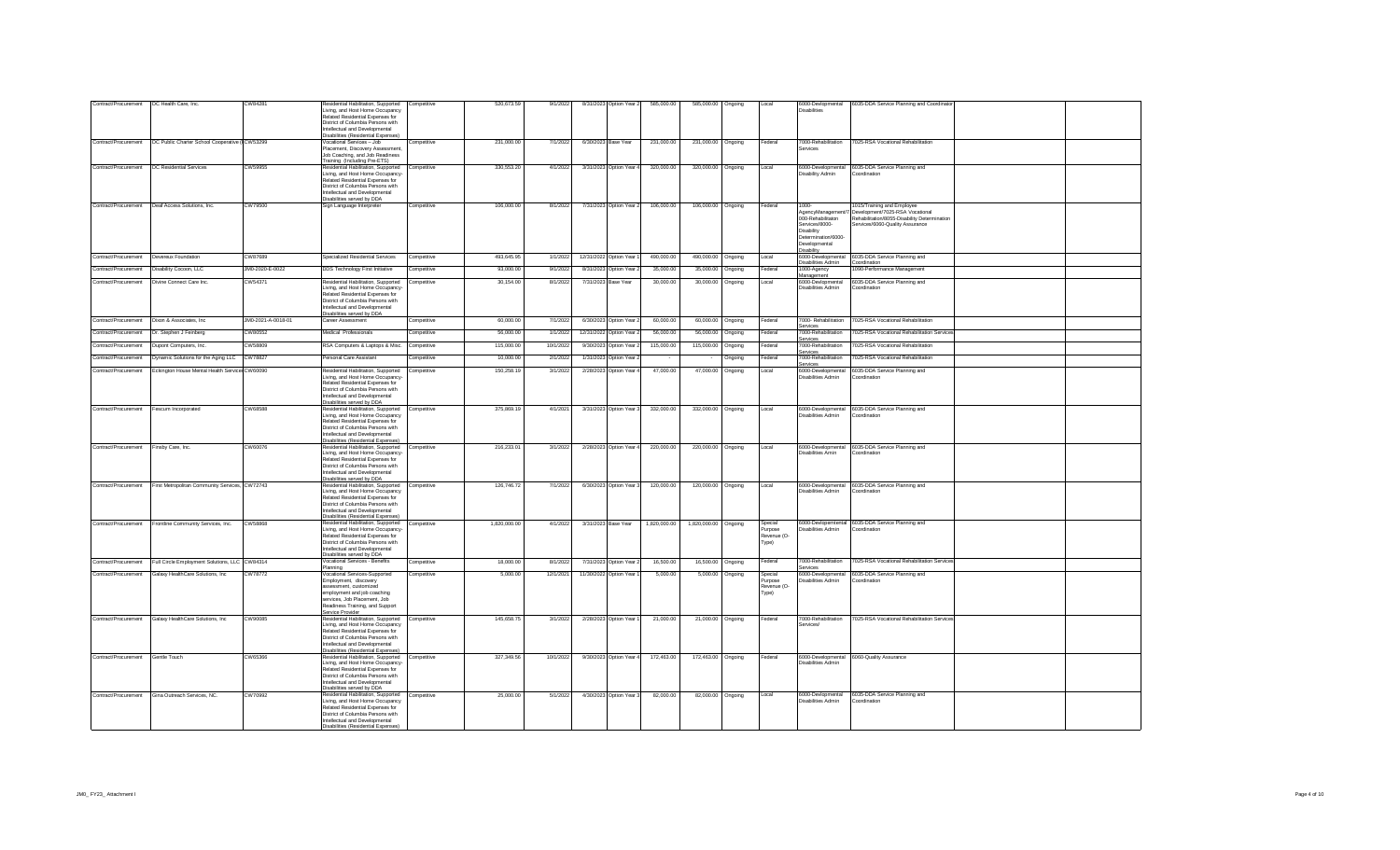| Contract/Procurement              | DC Health Care, Inc.                                    | CW84281            | Residential Habilitation, Supported<br>Living, and Host Home Occupancy<br>Related Residential Expenses for<br>District of Columbia Persons with<br>ntellectual and Developmental<br><b>Disabilities (Residential Expenses</b>               | Competitive | 520,673.59   | 9/1/2022  | 8/31/2023 Option Year 2 | 585,000.00   | 585,000.00 Ongoing   |                  | Local                                             | <b>Disabilities</b>                                                                                                                    | 6000-Devlopmental 6035-DDA Service Planning and Coordinator                                                                                      |  |
|-----------------------------------|---------------------------------------------------------|--------------------|---------------------------------------------------------------------------------------------------------------------------------------------------------------------------------------------------------------------------------------------|-------------|--------------|-----------|-------------------------|--------------|----------------------|------------------|---------------------------------------------------|----------------------------------------------------------------------------------------------------------------------------------------|--------------------------------------------------------------------------------------------------------------------------------------------------|--|
| Contract/Procurement              | DC Public Charter School Cooperative ( CW53299          |                    | Vocational Services - Job<br>Placement, Discovery Assessment,<br>Job Coaching, and Job Readiness<br>Training (Including Pre-ETS)                                                                                                            | Competitive | 231.000.00   | 7/1/2022  | 6/30/2023 Base Year     | 231.000.00   | 231,000.00 Ongoing   |                  | Federal                                           | 7000-Rehabilitation<br>services                                                                                                        | 7025-RSA Vocational Rehabilitation                                                                                                               |  |
| Contract/Procurement              | <b>DC Residential Services</b>                          | CW59955            | Residential Habilitation, Supported<br>Living, and Host Home Occupancy-<br>Related Residential Expenses for<br>District of Columbia Persons with<br>ntellectual and Developmental<br>Disabilities served by DDA                             | Competitive | 330,553.20   | 4/1/2022  | 3/31/2023 Option Year   | 320,000.00   | 320,000.00 Ongoing   |                  | Local                                             | Disability Admin                                                                                                                       | 6000-Developmental 6035-DDA Service Planning and<br>Coordination                                                                                 |  |
| Contract/Procurement              | Deaf Access Solutions, Inc.                             | CW79500            | Sign Language Interpreter                                                                                                                                                                                                                   | Competitive | 106,000.00   | 8/1/2022  | 7/31/2023 Option Year 2 | 106,000.00   | 106,000.00 Ongoing   |                  | Federal                                           | 1000-<br>AgencyManagement/7<br>000-Rehabilitaton<br>Services/8000-<br>Disability<br>Determination/6000-<br>Developmental<br>Disability | 1015/Training and Employee<br>Development/7025-RSA Vocational<br>Rehabilitation/8055-Disability Determination<br>Services/6060-Quality Assurance |  |
| Contract/Procurement              | Devereux Foundation                                     | CW87689            | Specialized Residential Services                                                                                                                                                                                                            | Competitive | 493,645.95   | 1/1/2022  | 12/31/2022 Option Year  | 490,000.00   | 490,000.00 Ongoing   |                  | Local                                             | 6000-Developmental<br><b>Disabilities Admin</b>                                                                                        | 6035-DDA Service Planning and<br>Coordination                                                                                                    |  |
| Contract/Procurement              | Disability Cocoon, LLC                                  | JM0-2020-E-0022    | DDS Technology First Initiative                                                                                                                                                                                                             | Competitive | 93,000.00    | 9/1/2022  | 8/31/2023 Option Year:  | 35,000.00    | 35,000.00            | Ongoing          | Federal                                           | 1000-Agency<br>Management                                                                                                              | 1090-Performance Management                                                                                                                      |  |
| Contract/Procurement              | Divine Connect Care Inc.                                | CW54371            | Residential Habilitation, Supported<br>Living, and Host Home Occupancy-<br>Related Residential Expenses for<br>District of Columbia Persons with<br>Intellectual and Developmental<br>Disabilities served by DDA                            | Competitive | 30,154.00    | 8/1/2022  | 7/31/2023 Base Year     | 30,000.00    | 30,000.00            | Ongoing          | Local                                             | 6000-Devlopmental<br>Disabilities Admin                                                                                                | 6035-DDA Service Planning and<br>Coordination                                                                                                    |  |
| Contract/Procurement              | Dixon & Associates, Inc.                                | JM0-2021-A-0018-01 | Career Assessment                                                                                                                                                                                                                           | Competitive | 60,000.00    | 7/1/2022  | 6/30/2023 Option Year 2 | 60,000.00    | 60,000.00 Ongoing    |                  | Federal                                           | 7000- Rehabilitation<br>Services                                                                                                       | 7025-RSA Vocational Rehabilitation                                                                                                               |  |
| Contract/Procurement              | Dr. Stephen J Feinberg                                  | CW80552            | Medical Professionals                                                                                                                                                                                                                       | Competitive | 56,000.00    | 1/1/2022  | 12/31/2022 Option Year: | 56,000.00    | 56,000.00            | Ongoing          | Federal                                           | 7000-Rehabilitation<br>Services                                                                                                        | 7025-RSA Vocational Rehabilitation Service                                                                                                       |  |
| Contract/Procurement              | Dupont Computers, Inc.                                  | CW58809            | RSA Computers & Laptops & Misc.                                                                                                                                                                                                             | Competitive | 115,000.00   | 10/1/2022 | 9/30/2023 Option Year   | 115,000.00   | 115,000.00           | Ongoing          | Federal                                           | 7000-Rehabilitation<br>services                                                                                                        | 7025-RSA Vocational Rehabilitation                                                                                                               |  |
| Contract/Procurement              | Dynamic Solutions for the Aging LLC                     | CW78827            | ersonal Care Assistant                                                                                                                                                                                                                      | Competitive | 10,000.00    | 2/1/2022  | 1/31/2023 Option Year   |              |                      | Ongoing          | Federal                                           | 7000-Rehabilitation<br>Services                                                                                                        | 7025-RSA Vocational Rehabilitation                                                                                                               |  |
| Contract/Procurement              | Eckington House Mental Health Service: CW60090          |                    | Residential Habilitation, Supported<br>Living, and Host Home Occupancy-<br>Related Residential Expenses for<br>District of Columbia Persons with<br>Intellectual and Developmental<br>Disabilities served by DDA                            | Competitive | 150,258.19   | 3/1/2022  | 2/28/2023 Option Year   | 47,000.00    | 47,000.00            | Ongoing          | Local                                             | 6000-Developmental<br>Disabilities Admin                                                                                               | 6035-DDA Service Planning and<br>Coordination                                                                                                    |  |
| Contract/Procurement              | Fescum Incorporated                                     | CW68588            | Residential Habilitation, Supported<br>Living, and Host Home Occupancy<br>Related Residential Expenses for<br>District of Columbia Persons with<br>Intellectual and Developmental<br>Disabilities (Residential Expenses)                    | Competitive | 375,869.19   | 4/1/2021  | 3/31/2023 Option Year 3 | 332,000.00   | 332,000.00 Ongoing   |                  | Local                                             | 6000-Developmental<br>Disabilities Admin                                                                                               | 6035-DDA Service Planning and<br>Coordination                                                                                                    |  |
| Contract/Procurement              | Finsby Care, Inc.                                       | CW60076            | Residential Habilitation, Supported<br>Living, and Host Home Occupancy<br>Related Residential Expenses for<br>District of Columbia Persons with<br>Intellectual and Developmental<br>Disabilities served by DDA                             | Competitive | 216,233.01   | 3/1/2022  | 2/28/2023 Option Year 4 | 220,000.00   | 220,000.00 Ongoing   |                  | Local                                             | Disabilities Amin                                                                                                                      | 6000-Developmental 6035-DDA Service Planning and<br>Coordination                                                                                 |  |
| Contract/Procurement              | First Metropolitan Community Services, CW72743          |                    | Residential Habilitation, Supported Competitive<br>Living, and Host Home Occupancy<br>Related Residential Expenses for<br>District of Columbia Persons with<br>Intellectual and Developmental<br><b>Disabilities (Residential Expenses)</b> |             | 126,746.72   | 7/1/2022  | 6/30/2023 Option Year 3 | 120,000.00   | 120,000.00 Ongoing   |                  | Local                                             | Disabilities Admin                                                                                                                     | 6000-Developmental 6035-DDA Service Planning and<br>Coordination                                                                                 |  |
|                                   | Contract/Procurement Frontline Community Services, Inc. | CW58868            | Residential Habilitation, Supported<br>Living, and Host Home Occupancy-<br>Related Residential Expenses for<br>District of Columbia Persons with<br>ntellectual and Developmental<br>Disabilities served by DDA                             | Competitive | 1,820,000.00 | 4/1/2022  | 3/31/2023 Base Year     | 1,820,000.00 | 1,820,000.00 Ongoing |                  | Special<br><b>Purpose</b><br>Revenue (O-<br>Type) | Disabilities Admin                                                                                                                     | 6000-Devlopemtental 6035-DDA Service Planning and<br>Coordination                                                                                |  |
| Contract/Procurement              | Full Circle Employment Solutions, LLC CW84314           |                    | Vocational Services - Benefits<br>Planning                                                                                                                                                                                                  | Competitive | 18,000.00    | 8/1/2022  | 7/31/2023 Option Year 2 | 16,500.00    | 16,500.00 Ongoing    |                  | Federal                                           | 7000-Rehabilitation<br>Services                                                                                                        | 7025-RSA Vocational Rehabilitation Services                                                                                                      |  |
| Contract/Procurement              | Galaxy HealthCare Solutions, Inc.                       | CW78772            | Vocational Services-Supported<br>Employment, discovery<br>assessment, customized<br>employment and job coaching<br>services, Job Placement, Job<br>Readiness Training, and Support<br>Service Provider                                      | Competitive | 5,000.00     | 12/1/2021 | 11/30/2022 Option Year  | 5,000.00     |                      | 5,000.00 Ongoing | Special<br>urpose<br>Revenue (O-<br>Type)         | 6000-Developmental<br>Disabilities Admin                                                                                               | 6035-DDA Service Planning and<br>Coordination                                                                                                    |  |
| Contract/Procurement              | Galaxy HealthCare Solutions, Inc.                       | CW90085            | Residential Habilitation, Supported<br>Living, and Host Home Occupancy<br>Related Residential Expenses for<br>District of Columbia Persons with<br>Intellectual and Developmental<br>Disabilities (Residential Expenses)                    | Competitive | 145,658.75   | 3/1/2022  | 2/28/2023 Option Year 1 | 21,000.00    | 21,000.00 Ongoing    |                  | Federal                                           | 7000-Rehabilitation<br>Services/                                                                                                       | 7025-RSA Vocational Rehabilitation Service                                                                                                       |  |
| Contract/Procurement Gentle Touch |                                                         | CW65366            | Residential Habilitation, Supported Competitive<br>Living, and Host Home Occupancy-<br>Related Residential Expenses for<br>District of Columbia Persons with<br>ntellectual and Developmental<br>Disabilities served by DDA                 |             | 327 349 56   | 10/1/2022 | 9/30/2023 Option Year 4 | 172.463.00   | 172,463.00 Ongoing   |                  | Federal                                           | Disabilities Admin                                                                                                                     | 6000-Developmental 6060-Quality Assurance                                                                                                        |  |
| Contract/Procurement              | Gina Outreach Services NC                               | CW70992            | Residential Habilitation, Supported Competitive<br>Living, and Host Home Occupancy<br>Related Residential Expenses for<br>District of Columbia Persons with<br>Intellectual and Developmental<br>Disabilities (Residential Expenses)        |             | 25,000.00    | 5/1/2022  | 4/30/2023 Option Year 3 | 82,000.00    | 82.000.00 Ongoing    |                  | Local                                             | 6000-Devlopmental<br>Disabilities Admin                                                                                                | 6035-DDA Service Planning and<br>Coordination                                                                                                    |  |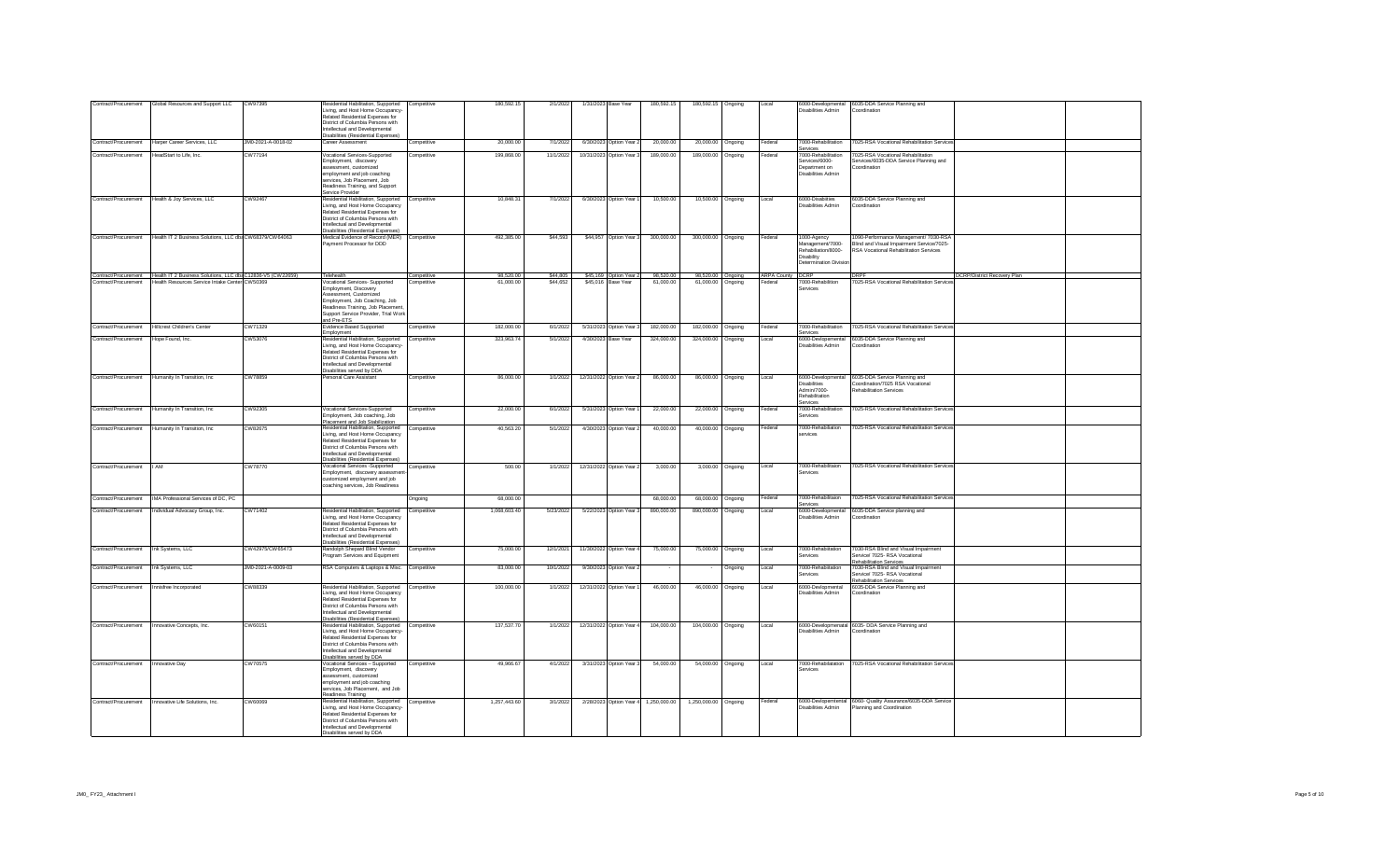| Contract/Procurement                | Global Resources and Support LLC                                                 | CW97395            | Residential Habilitation, Supported<br>Living, and Host Home Occupancy-<br>Related Residential Expenses for<br>District of Columbia Persons with<br>ntellectual and Developmental<br>Disabilities (Residential Expenses         | Competitive | 180,592.15   | 2/1/2022  | 1/31/2023 Base Year      | 180,592.15   | 180,592.15 Ongoing   |                   | Local                   | Disabilities Admin                                                                                    | 6000-Developmental 6035-DDA Service Planning and<br>Coordination                                                             |                                    |  |
|-------------------------------------|----------------------------------------------------------------------------------|--------------------|---------------------------------------------------------------------------------------------------------------------------------------------------------------------------------------------------------------------------------|-------------|--------------|-----------|--------------------------|--------------|----------------------|-------------------|-------------------------|-------------------------------------------------------------------------------------------------------|------------------------------------------------------------------------------------------------------------------------------|------------------------------------|--|
| Contract/Procurement                | Harper Career Services, LLC                                                      | JM0-2021-A-0018-02 | Career Assessment                                                                                                                                                                                                               | Competitive | 20,000.00    | 7/1/2022  | 6/30/2023 Option Year 2  | 20,000.00    | 20,000.00 Ongoing    |                   | Federal                 | 7000-Rehabilitation<br>services                                                                       | 7025-RSA Vocational Rehabilitation Service                                                                                   |                                    |  |
| Contract/Procurement                | HeadStart to Life, Inc.                                                          | CW77194            | Vocational Services-Supported<br>Employment, discovery<br>assessment, customized<br>employment and job coaching<br>services, Job Placement, Job<br>Readiness Training, and Support<br>Service Provider                          | Competitive | 199,868.00   | 11/1/2022 | 10/31/2023 Option Year 3 | 189,000.00   | 189,000.00           | Ongoing           | Federal                 | 7000-Rehabilitation<br>Services/6000-<br>Department on<br>Disabilities Admin                          | 7025-RSA Vocational Rehabilitation<br>Services/6035-DDA Service Planning and<br>Coordination                                 |                                    |  |
| Contract/Procurement                | Health & Joy Services, LLC                                                       | CW92467            | Residential Habilitation, Supported<br>Living, and Host Home Occupancy<br>Related Residential Expenses for<br>District of Columbia Persons with<br>Intellectual and Developmental<br>Disabilities (Residential Expenses)        | Competitive | 10.848.31    | 7/1/2022  | 6/30/2023 Option Year 1  | 10,500.00    | 10,500.00 Ongoing    |                   | Local                   | 6000-Disabiities<br><b>Disabilities Admin</b>                                                         | 6035-DDA Service Planning and<br>Coordination                                                                                |                                    |  |
|                                     | Contract/Procurement Health IT 2 Business Solutions, LLC db: CW68379/CW64063     |                    | Medical Evidence of Record (MER) Competitive<br>Payment Processor for DDD                                                                                                                                                       |             | 492 385 00   | \$44,593  | \$44,957 Option Year 3   | 300,000.00   | 300,000.00 Ongoing   |                   | Federal                 | 1000-Agency<br>Management/7000-<br>Rehabiliation/8000-<br>Disability<br><b>Determination Division</b> | 1090-Performance Management/ 7030-RSA<br>Blind and Visual Impairment Service/7025-<br>RSA Vocational Rehabilitation Services |                                    |  |
|                                     | Contract/Procurement Health IT 2 Business Solutions. LLC dbi C12836-V5 (CW22659) |                    | Telehealth                                                                                                                                                                                                                      | Competitive | 98.520.00    | \$44.805  | \$45.169 Option Year 2   | 98.520.00    |                      | 98.520.00 Onacina | <b>ARPA County DCRP</b> |                                                                                                       | <b>DRPF</b>                                                                                                                  | <b>DCRP/District Recovery Plan</b> |  |
|                                     | Contract/Procurement Health Resources Service Intake Center CW 50369             |                    | Vocational Services- Supported<br>Employment, Discovery<br>Assessment Customized<br>Employment, Job Coaching, Job<br>Readiness Training, Job Placement<br>Support Service Provider, Trial Work<br>and Pre-ETS                   | Competitive | 61,000.00    | \$44,652  | \$45,016 Base Year       | 61,000.00    | 61,000.00 Ongoing    |                   | Federal                 | 7000-Rehabilition<br>Services                                                                         | 7025-RSA Vocational Rehabilitation Service                                                                                   |                                    |  |
| Contract/Procurement                | Hillcrest Children's Center                                                      | CW71329            | Evidence Based Supported<br>Employment                                                                                                                                                                                          | Competitive | 182,000.00   | 6/1/2022  | 5/31/2023 Option Year 3  | 182,000.00   | 182,000.00 Ongoing   |                   | Federal                 | 7000-Rehabilitation<br>Services                                                                       | 7025-RSA Vocational Rehabilitation Services                                                                                  |                                    |  |
| Contract/Procurement                | Hope Found, Inc.                                                                 | CW53076            | Residential Habilitation, Supported<br>Living, and Host Home Occupancy-<br>Related Residential Expenses for<br>District of Columbia Persons with<br>Intellectual and Developmental<br>Disabilities served by DDA                | Competitive | 323,963.74   | 5/1/2022  | 4/30/2023 Base Year      | 324,000.00   | 324,000.00 Ongoing   |                   | Local                   | Disabilities Admin                                                                                    | 6000-Devlopemental 6035-DDA Service Planning and<br>Coordination                                                             |                                    |  |
|                                     | Contract/Procurement   Humanity In Transition, Inc.                              | CW78859            | ersonal Care Assistant                                                                                                                                                                                                          | Competitive | 86,000.00    | 1/1/2022  | 12/31/2022 Option Year 2 | 86,000.00    | 86,000.00 Ongoing    |                   | Local                   | 6000-Developmental<br><b>Disabilities</b><br>Admin/7000-<br>Rehabilitation<br>Services                | 6035-DDA Service Planning and<br>Coordination/7025 RSA Vocational<br>Rehabilitation Services                                 |                                    |  |
| Contract/Procurement                | Humanity In Transition, Inc.                                                     | CW92305            | Vocational Services-Supported<br>Employment, Job coaching, Job<br>Placement and Job Stabilization                                                                                                                               | Competitive | 22,000.00    | 6/1/2022  | 5/31/2023 Option Year    | 22,000.00    | 22,000.00 Ongoing    |                   | Federal                 | 7000-Rehabilitation<br>Services                                                                       | 7025-RSA Vocational Rehabilitation Services                                                                                  |                                    |  |
| Contract/Procurement                | Humanity In Transition, Inc.                                                     | CW82675            | Residential Habilitation, Supported<br>Living, and Host Home Occupancy<br>Related Residential Expenses for<br>District of Columbia Persons with<br>Intellectual and Developmental<br><b>Disabilities (Residential Expenses</b>  | Competitive | 40,563.20    | 5/1/2022  | 4/30/2023 Option Year:   | 40,000.00    | 40,000.00 Ongoing    |                   | Federal                 | 7000-Rehabiliation<br>ervices                                                                         | 7025-RSA Vocational Rehabilitation Services                                                                                  |                                    |  |
| Contract/Procurement                | <b>I</b> AM                                                                      | CW78770            | Vocational Services -Supported<br>Employment, discovery assessme<br>customized employment and job<br>coaching services, Job Readiness                                                                                           | Competitive | 500.00       | 1/1/2022  | 12/31/2022 Option Year 2 | 3,000.00     |                      | 3,000.00 Ongoing  | Local                   | 7000-Rehabilitaion<br>Services                                                                        | 7025-RSA Vocational Rehabilitation Services                                                                                  |                                    |  |
| Contract/Procurement                | IMA Professional Services of DC, PC                                              |                    |                                                                                                                                                                                                                                 | Ongoing     | 68,000.00    |           |                          | 68,000.00    | 68,000.00 Ongoing    |                   | Federal                 | 7000-Rehabilitaion<br>Services                                                                        | 7025-RSA Vocational Rehabilitation Service                                                                                   |                                    |  |
| Contract/Procurement                | Individual Advocacy Group, Inc.                                                  | CW71402            | Residential Habilitation, Supported<br>Living, and Host Home Occupancy<br>Related Residential Expenses for<br>District of Columbia Persons with<br>Intellectual and Developmental<br><b>Disabilities (Residential Expenses)</b> | Competitive | 1,068,603.40 | 5/23/2022 | 5/22/2023 Option Year 3  | 890,000.00   | 890.000.00           | Ongoing           | Local                   | 6000-Developmental<br>Disabilities Admin                                                              | 6035-DDA Service planning and<br>Coordination                                                                                |                                    |  |
| Contract/Procurement                | Ink Systems, LLC                                                                 | CW42975/CW65473    | Randolph Shepard Blind Vendor<br>rogram Services and Equipment                                                                                                                                                                  | Competitive | 75,000.00    | 12/1/2021 | 11/30/2022 Option Year   | 75,000.00    | 75,000.00 Ongoing    |                   | Local                   | 7000-Rehabiitation<br>Services                                                                        | 7030-RSA Blind and Visual Impairment<br>Service/ 7025- RSA Vocational                                                        |                                    |  |
| Contract/Procurement                | Ink Systems, LLC                                                                 | JM0-2021-A-0009-03 | RSA Computers & Laptops & Misc. Competitive                                                                                                                                                                                     |             | 83,000.00    | 10/1/2022 | 9/30/2023 Option Year 2  |              |                      | Ongoing           | Local                   | 7000-Rehabiitation<br>Services                                                                        | <b>Rehabilitation Services</b><br>7030-RSA Blind and Visual Impairment<br>Service/ 7025- RSA Vocational                      |                                    |  |
| Contract/Procurement                | Innisfree Incorporated                                                           | CW88339            | Residential Habilitation, Supported<br>Living, and Host Home Occupancy<br>Related Residential Expenses for<br>District of Columbia Persons with<br>Intellectual and Developmental                                               | Competitive | 100,000.00   | 1/1/2022  | 12/31/2022 Option Year 1 | 46,000.00    | 46,000.00 Ongoing    |                   | Local                   | 6000-Devlopmental<br>Disabilities Admin                                                               | Rehabilitation Services<br>6035-DDA Service Planning and<br>Coordination                                                     |                                    |  |
|                                     |                                                                                  |                    | Disabilities (Residential Expenses)<br>Residential Habilitation, Supported Competitive                                                                                                                                          |             | 137,537.70   |           |                          |              |                      |                   | Local                   |                                                                                                       | 6000-Developmenatal 6035- DDA Service Planning and                                                                           |                                    |  |
|                                     | Contract/Procurement Innovative Concepts, Inc.                                   | CW60151            | Living, and Host Home Occupancy-<br>Related Residential Expenses for<br>District of Columbia Persons with<br>Intellectual and Developmental<br>Disabilities served by DDA                                                       |             |              | 1/1/2022  | 12/31/2022 Option Year 4 | 104,000.00   | 104,000.00 Ongoing   |                   |                         | Disabilities Admin                                                                                    | Coordination                                                                                                                 |                                    |  |
| Contract/Procurement Innovative Day |                                                                                  | CW70575            | Vocational Services - Supported<br>Employment, discovery<br>assessment_customized<br>employment and job coaching<br>services. Job Placement, and Job<br>Readiness Training                                                      | Competitive | 49 966 67    | 4/1/2022  | 3/31/2023 Option Year 3  | 54,000.00    | 54,000.00 Ongoing    |                   | Local                   | Services                                                                                              | 7000-Rehabilatation 7025-RSA Vocational Rehabilitation Services                                                              |                                    |  |
| Contract/Procurement                | Innovative Life Solutions Inc.                                                   | CW60069            | Residential Habilitation, Supported Competitive<br>Living, and Host Home Occupancy-<br>Related Residential Expenses for<br>District of Columbia Persons with<br>Intellectual and Developmental<br>Disabilities served by DDA    |             | 1 257 443 60 | 3/1/2022  | 2/28/2023 Option Year 4  | 1.250.000.00 | 1,250,000.00 Ongoing |                   | Federal                 | Disabilities Admin                                                                                    | 6000-Devlopemtental 6060- Quality Assurance/6035-DDA Service<br>Planning and Coordination                                    |                                    |  |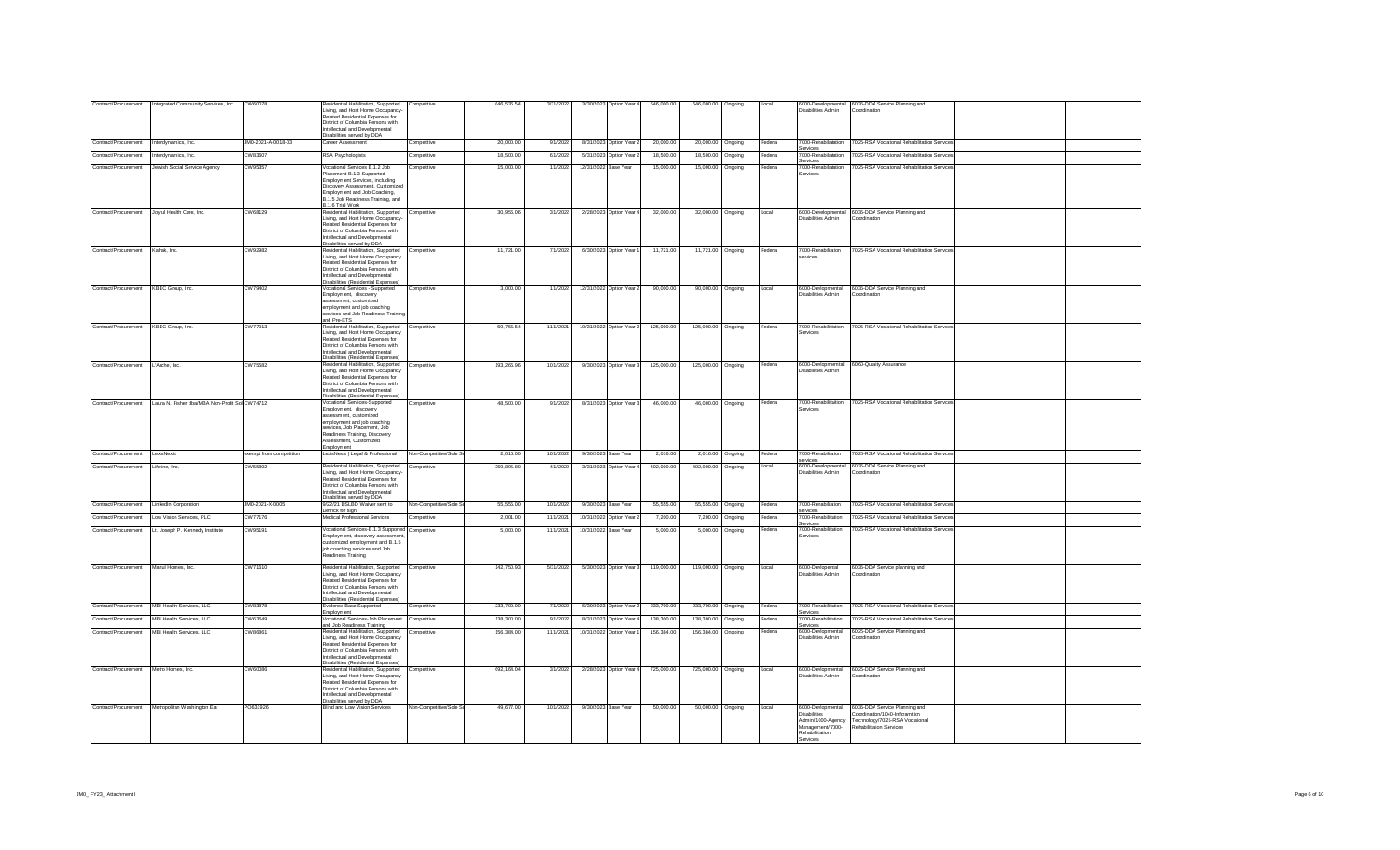| Contract/Procurement                  | Integrated Community Services, Inc.               | CW60078                 | tesidential Habilitation, Supported<br>Living, and Host Home Occupancy-<br>Related Residential Expenses for<br>District of Columbia Persons with<br><b>ntellectual and Developmental</b>                                        | Competitive            | 646,536.54 | 3/31/2022 |                      | 3/30/2023 Option Year 4  | 646,000.00 | 646,000.00 Ongoing |                  | Local   | 6000-Developmental<br>Disabilities Admin                                                                         | 6035-DDA Service Planning and<br>Coordination                                                                                      |  |
|---------------------------------------|---------------------------------------------------|-------------------------|---------------------------------------------------------------------------------------------------------------------------------------------------------------------------------------------------------------------------------|------------------------|------------|-----------|----------------------|--------------------------|------------|--------------------|------------------|---------|------------------------------------------------------------------------------------------------------------------|------------------------------------------------------------------------------------------------------------------------------------|--|
| Contract/Procurement                  | Interdynamics, Inc.                               | JM0-2021-A-0018-03      | Disabilities served by DDA<br>Career Assessment                                                                                                                                                                                 | Competitive            | 20,000.00  | 9/1/2022  |                      | 8/31/2023 Option Year 2  | 20,000.00  | 20,000.00 Ongoing  |                  | Federal | 7000-Rehabilatation<br>ervices                                                                                   | 7025-RSA Vocational Rehabilitation Services                                                                                        |  |
| Contract/Procurement                  | nterdynamics, Inc.                                | CW83607                 | RSA Psychologists                                                                                                                                                                                                               | Competitive            | 18,500.00  | 6/1/2022  | 5/31/2023            | Option Year 2            | 18,500.00  | 18,500.00          | Ongoing          | Federal | 7000-Rehabilatation<br>Services                                                                                  | 7025-RSA Vocational Rehabilitation Services                                                                                        |  |
|                                       | Contract/Procurement Jewish Social Service Agency | CW95357                 | Vocational Services B.1.2 Job<br>Placement B.1.3 Supported<br>Employment Services, including<br>Discovery Assessment, Customized<br>Employment and Job Coaching,<br>B.1.5 Job Readiness Training, and<br>B.1.6 Trial Work       | Competitive            | 15,000.00  | 1/1/2022  | 12/31/2022 Base Year |                          | 15,000.00  | 15,000.00 Ongoing  |                  | Federal | 7000-Rehabilatation<br>Services                                                                                  | 7025-RSA Vocational Rehabilitation Services                                                                                        |  |
| Contract/Procurement                  | Joyful Health Care, Inc.                          | CW68129                 | Residential Habilitation, Supported<br>Living, and Host Home Occupancy-<br>Related Residential Expenses for<br>District of Columbia Persons with<br>ntellectual and Developmental<br>Disabilities served by DDA                 | Competitive            | 30,956.06  | 3/1/2022  |                      | 2/28/2023 Option Year 4  | 32,000.00  | 32,000.00 Ongoing  |                  | Local   | Disabilities Admin                                                                                               | 6000-Developmental 6035-DDA Service Planning and<br>Coordination                                                                   |  |
| Contract/Procurement                  | Kahak, Inc.                                       | CW92982                 | tesidential Habilitation, Supported<br>Living, and Host Home Occupancy<br>Related Residential Expenses for<br>District of Columbia Persons with<br>Intellectual and Developmental<br>Disabilities (Residential Expenses)        | Competitive            | 11,721.00  | 7/1/2022  |                      | 6/30/2023 Option Year    | 11,721.00  | 11,721.00 Ongoing  |                  | Federal | 7000-Rehabiliation<br>ervices                                                                                    | 7025-RSA Vocational Rehabilitation Services                                                                                        |  |
| Contract/Procurement KBEC Group, Inc. |                                                   | CW79402                 | Vocational Services - Supported<br>Employment, discovery<br>ssessment customized<br>employment and job coaching<br>services and Job Readiness Trainin<br>and Pre-ETS                                                            | Competitive            | 3,000.00   | 1/1/2022  |                      | 12/31/2022 Option Year 2 | 90,000.00  | 90,000.00 Ongoing  |                  | Local   | Disabilities Admin                                                                                               | 6000-Devlopmental 6035-DDA Service Planning and<br>Coordination                                                                    |  |
| Contract/Procurement KBEC Group, Inc. |                                                   | CW77013                 | Residential Habilitation, Supported<br>Living, and Host Home Occupancy<br>Related Residential Expenses for<br>District of Columbia Persons with<br>Intellectual and Developmental<br>Disabilities (Residential Expenses)        | Competitive            | 59,756.54  | 11/1/2021 |                      | 10/31/2022 Option Year 2 | 125,000.00 | 125,000.00 Ongoing |                  | Federal | 7000-Rehabilitiation<br>Services                                                                                 | 7025-RSA Vocational Rehabilitation Services                                                                                        |  |
| Contract/Procurement                  | L'Arche, Inc.                                     | CW75582                 | tesidential Habilitation, Supported<br>Living, and Host Home Occupancy<br>Related Residential Expenses for<br>District of Columbia Persons with<br>Intellectual and Developmental<br>Disabilities (Residential Expenses)        | Competitive            | 193,266.96 | 10/1/2022 |                      | 9/30/2023 Option Year 3  | 125,000.00 | 125,000.00 Ongoing |                  | Federal | Disabilities Admin                                                                                               | 6000-Devlopmemtal 6060-Quality Assurance                                                                                           |  |
| Contract/Procurement                  | Laura N. Fisher dba/MBA Non-Profit Sol CW74712    |                         | /ocational Services-Supported<br>Employment, discovery<br>ssessment, customized<br>employment and job coaching<br>services, Job Placement, Job<br>Readiness Training, Discovery<br>Assessment, Customized<br>Employment         | Competitive            | 48,500.00  | 9/1/2022  |                      | 8/31/2023 Option Year 3  | 46,000.00  | 46,000.00 Ongoing  |                  | Federal | Services                                                                                                         | 7000-Rehabilitaition 7025-RSA Vocational Rehabilitation Services                                                                   |  |
| Contract/Procurement LexisNexis       |                                                   | exempt from competition | LexisNexis   Legal & Professional                                                                                                                                                                                               | Non-Competitive/Sole 3 | 2.016.00   | 10/1/2022 | 9/30/2023 Base Year  |                          | 2.016.00   | 2,016.00 Ongoing   |                  | Federal | 7000-Rehabiliation<br><b>PRODUCES</b>                                                                            | 7025-RSA Vocational Rehabilitation Services                                                                                        |  |
| Contract/Procurement Lifeline, Inc.   |                                                   | CW55802                 | Residential Habilitation, Supported<br>Living, and Host Home Occupancy-<br><b>Related Residential Expenses for</b><br>District of Columbia Persons with<br>Intellectual and Developmental<br>Disabilities served by DDA         | Competitive            | 359,895.80 | 4/1/2022  |                      | 3/31/2023 Option Year 4  | 402.000.00 | 402,000.00 Ongoing |                  | Local   | Disabilities Admin                                                                                               | 6000-Developmental 6035-DDA Service Planning and<br>Coordination                                                                   |  |
| Contract/Procurement                  | LinkedIn Corporation                              | JM0-2021-X-0005         | 9/22/21 DSLBD Waiver sent to<br>Derrick for sign.                                                                                                                                                                               | Non-Competitive/Sole   | 55,555.00  | 10/1/2022 | 9/30/2023 Base Year  |                          | 55,555.00  | 55,555.00 Ongoing  |                  | Federal | 7000-Rehabiliation<br>ervices                                                                                    | 7025-RSA Vocational Rehabilitation Services                                                                                        |  |
| Contract/Procurement                  | Low Vision Services, PLC                          | CW77176                 | <b>Iedical Professional Services</b>                                                                                                                                                                                            | Competitive            | 2,001.00   | 11/1/202  | 10/31/2022           | Option Year:             | 7,200.00   | 7,200.00           | Ongoing          | Federal | 7000-Rehabilitation<br>ervices                                                                                   | 7025-RSA Vocational Rehabilitation Services                                                                                        |  |
| Contract/Procurement                  | Lt. Joseph P. Kennedy Institute                   | CW95191                 | Vocational Services-B.1.3 Supported Competitive<br>Employment, discovery assessmen<br>customized employment and B.1.5<br>job coaching services and Job<br>Readiness Training                                                    |                        | 5,000.00   | 11/1/2021 | 10/31/2022 Base Year |                          | 5,000.00   |                    | 5,000.00 Ongoing | Federal | 7000-Rehabilitation<br>Services                                                                                  | 7025-RSA Vocational Rehabilitation Services                                                                                        |  |
| Contract/Procurement                  | Marjul Homes, Inc.                                | CW71610                 | Residential Habilitation, Supported<br>Living, and Host Home Occupancy<br><b>Related Residential Expenses for</b><br>District of Columbia Persons with<br>Intellectual and Developmental<br>Disabilities (Residential Expenses) | Competitive            | 142,750.93 | 5/31/2022 |                      | 5/30/2023 Option Year 3  | 119,000.00 | 119,000.00 Ongoing |                  | Local   | 6000-Devlopental<br>Disabilities Admin                                                                           | 6035-DDA Service planning and<br>Coordination                                                                                      |  |
| Contract/Procurement                  | MBI Health Services, LLC                          | CW83878                 | Evidence Base Supported<br>Employment                                                                                                                                                                                           | Competitive            | 233,700.00 | 7/1/2022  |                      | 6/30/2023 Option Year 2  | 233,700.00 | 233,700.00         | Ongoing          | Federal | 7000-Rehabilitation<br><b>Anvices</b>                                                                            | 7025-RSA Vocational Rehabilitation Services                                                                                        |  |
| Contract/Procurement                  | MBI Health Services, LLC                          | CW63649                 | /ocational Services-Job Placement<br>and Job Readiness Training                                                                                                                                                                 | Competitive            | 138,300.00 | 9/1/2022  | 8/31/2023            | Iption Year 4            | 138,300.00 | 138,300.00         | Ongoing          | Federal | 7000-Rehabilitation<br>ervices                                                                                   | 7025-RSA Vocational Rehabilitation Services                                                                                        |  |
| Contract/Procurement                  | MBI Health Services, LLC                          | CW86861                 | Residential Habilitation, Supported<br>Living, and Host Home Occupancy<br>Related Residential Expenses for<br>District of Columbia Persons with<br>Intellectual and Developmental<br>Disabilities (Residential Expenses)        | Competitive            | 156,384.00 | 11/1/2021 |                      | 10/31/2022 Option Year   | 156,384.00 | 156,384.00 Ongoing |                  | Federal | 6000-Devlopmental<br>Disabilities Admin                                                                          | 6025-DDA Service Planning and<br>Coordination                                                                                      |  |
| Contract/Procurement                  | Metro Homes, Inc.                                 | CW60086                 | Residential Habilitation, Supported<br>Living, and Host Home Occupancy-<br>Related Residential Expenses for<br>District of Columbia Persons with<br>ntellectual and Developmental<br>Disabilities served by DDA                 | Competitive            | 692 164 04 | 3/1/2022  |                      | 2/28/2023 Option Year 4  | 725,000.00 | 725,000.00 Ongoing |                  | Local   | 6000-Devlopmental<br>Disabilities Admin                                                                          | 6025-DDA Service Planning and<br>Coordination                                                                                      |  |
|                                       | Contract/Procurement Metropolitan Washington Ear  | PO631926                | lind and Low Vision Services                                                                                                                                                                                                    | Non-Competitive/Sole S | 49,677.00  | 10/1/2022 | 9/30/2023 Base Year  |                          | 50,000.00  | 50,000.00 Ongoing  |                  | Local   | 6000-Devlopmental<br><b>Disabilities</b><br>Admin/1000-Agency<br>Management/7000-<br>Rehabilitiation<br>Services | 6035-DDA Service Planning and<br>Coordination/1040-Inforamtion<br>Technology/7025-RSA Vocational<br><b>Rehabilitation Services</b> |  |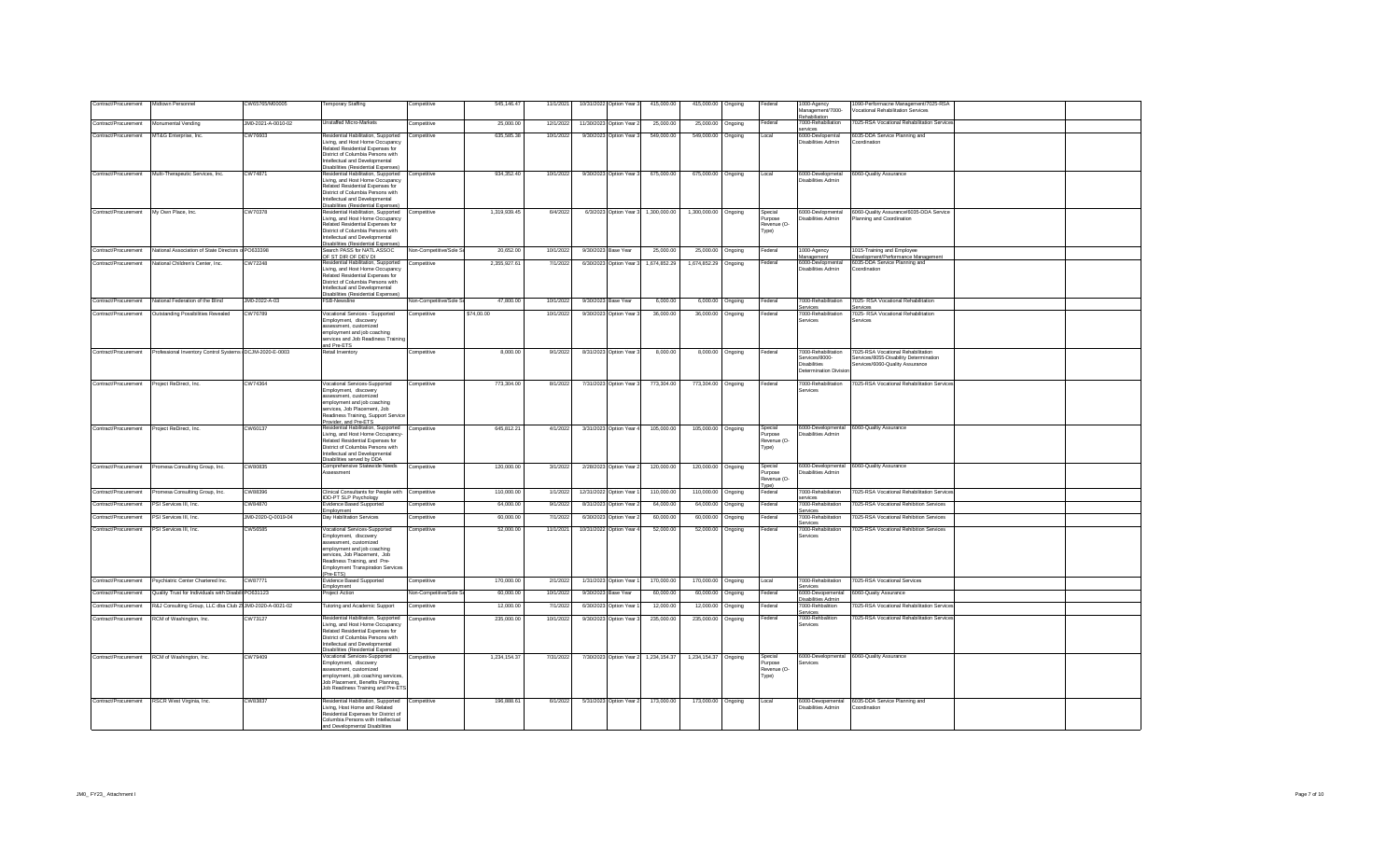| Contract/Procurement                        | Midtown Personnel                                                            | CW65765/M00005     | Temporary Staffing                                                                 | Competitive             | 545,146.47   | 11/1/2021 | 10/31/2022 Option Year 3 | 415,000.00                           | 415,000.00 Ongoing   |                  | Federal                | 1000-Agency<br>Management/7000-                | 1090-Performacne Management/7025-RSA<br><b>Vocational Rehabilitation Services</b> |  |
|---------------------------------------------|------------------------------------------------------------------------------|--------------------|------------------------------------------------------------------------------------|-------------------------|--------------|-----------|--------------------------|--------------------------------------|----------------------|------------------|------------------------|------------------------------------------------|-----------------------------------------------------------------------------------|--|
| Contract/Procurement                        | Monumental Vending                                                           | JM0-2021-A-0010-02 | Unstaffed Micro-Markets                                                            | Competitive             | 25,000.00    | 12/1/2022 | 11/30/2023 Option Year 2 | 25,000.00                            | 25,000.00 Ongoing    |                  | Federal                | Rehabiliation<br>7000-Rehabiliation            | 7025-RSA Vocational Rehabilitation Services                                       |  |
| Contract/Procurement                        | MT&G Enterprise, Inc.                                                        | CW76603            | Residential Habilitation, Supported                                                | Competitive             | 635.585.38   | 10/1/2022 | 9/30/2023 Option Year 3  | 549,000.00                           | 549,000.00 Ongoing   |                  | Local                  | 6000-Devlopemtal                               | 6035-DDA Service Planning and                                                     |  |
|                                             |                                                                              |                    | Living, and Host Home Occupancy<br><b>Related Residential Expenses for</b>         |                         |              |           |                          |                                      |                      |                  |                        | Disabilities Admin                             | Coordination                                                                      |  |
|                                             |                                                                              |                    | District of Columbia Persons with                                                  |                         |              |           |                          |                                      |                      |                  |                        |                                                |                                                                                   |  |
|                                             |                                                                              |                    | ntellectual and Developmental<br>Disabilities (Residential Expenses)               |                         |              |           |                          |                                      |                      |                  |                        |                                                |                                                                                   |  |
| Contract/Procurement                        | Multi-Therapeutic Services, Inc.                                             | CW74871            | Residential Habilitation, Supported                                                | Competitive             | 934,352.40   | 10/1/2022 | 9/30/2023 Option Year 3  | 675,000.00                           | 675,000.00 Ongoing   |                  | Local                  | 6000-Developmetal<br><b>Disabilities Admin</b> | 6060-Quality Assurance                                                            |  |
|                                             |                                                                              |                    | Living, and Host Home Occupancy<br><b>Related Residential Expenses for</b>         |                         |              |           |                          |                                      |                      |                  |                        |                                                |                                                                                   |  |
|                                             |                                                                              |                    | District of Columbia Persons with<br>Intellectual and Developmental                |                         |              |           |                          |                                      |                      |                  |                        |                                                |                                                                                   |  |
|                                             |                                                                              |                    | Disabilities (Residential Expenses)                                                |                         |              |           |                          |                                      |                      |                  |                        |                                                |                                                                                   |  |
| Contract/Procurement                        | My Own Place, Inc.                                                           | CW70378            | Residential Habilitation, Supported<br>Living, and Host Home Occupancy             | Competitive             | 1,319,939.45 | 6/4/2022  |                          | 6/3/2023 Option Year 3 1,300,000.00  | 1,300,000.00 Ongoing |                  | Special<br>Purpose     | 6000-Devlopmental<br><b>Disabilities Admin</b> | 6060-Quality Assurance/6035-DDA Service<br>Planning and Coordination              |  |
|                                             |                                                                              |                    | Related Residential Expenses for<br>District of Columbia Persons with              |                         |              |           |                          |                                      |                      |                  | Revenue (O-<br>Type)   |                                                |                                                                                   |  |
|                                             |                                                                              |                    | Intellectual and Developmental                                                     |                         |              |           |                          |                                      |                      |                  |                        |                                                |                                                                                   |  |
| Contract/Procurement                        | National Association of State Directors o PO633398                           |                    | Disabilities (Residential Expenses)<br>Search PASS for NATL ASSOC                  | Non-Competitive/Sole S  | 20.652.00    | 10/1/2022 | 9/30/2023 Base Year      | 25,000.00                            | 25,000.00 Ongoing    |                  | Federal                | 1000-Agency                                    | 1015-Training and Employee                                                        |  |
| Contract/Procurement                        | National Children's Center, Inc.                                             | CW72248            | OF ST DIR OF DEV DI                                                                |                         | 2,355,927.61 | 7/1/2022  | 6/30/2023 Option Year 3  | 1.674.852.29                         |                      |                  |                        | Management                                     | Development/Performance Management                                                |  |
|                                             |                                                                              |                    | Residential Habilitation, Supported Competitive<br>Living, and Host Home Occupancy |                         |              |           |                          |                                      | 1,674,852.29 Ongoing |                  | Federal                | 6000-Devlopmental<br>Disabilities Admin        | 6035-DDA Service Planning and<br>Coordination                                     |  |
|                                             |                                                                              |                    | Related Residential Expenses for<br>District of Columbia Persons with              |                         |              |           |                          |                                      |                      |                  |                        |                                                |                                                                                   |  |
|                                             |                                                                              |                    | Intellectual and Developmental                                                     |                         |              |           |                          |                                      |                      |                  |                        |                                                |                                                                                   |  |
| Contract/Procurement                        | National Federation of the Blind                                             | JM0-2022-A-03      | Disabilities (Residential Expenses)<br>FSB-Newsline                                | Non-Competitive/Sole S  | 47,800.00    | 10/1/2022 | 9/30/2023 Base Year      | 6,000.00                             |                      | 6,000.00 Ongoing | Federal                | 7000-Rehabilitation                            | 7025- RSA Vocational Rehabilitation                                               |  |
| Contract/Procurement                        | Outstanding Possibilities Revealed                                           | CW76789            | Vocational Services - Supported                                                    | Competitive             | \$74,00.00   | 10/1/2022 | 9/30/2023 Option Year 3  | 36,000.00                            | 36,000.00 Ongoing    |                  | Federal                | Services<br>7000-Rehabilitation                | 7025- RSA Vocational Rehabilitation                                               |  |
|                                             |                                                                              |                    | Employment, discovery<br>assessment customized                                     |                         |              |           |                          |                                      |                      |                  |                        | Services                                       | Services                                                                          |  |
|                                             |                                                                              |                    | employment and job coaching                                                        |                         |              |           |                          |                                      |                      |                  |                        |                                                |                                                                                   |  |
|                                             |                                                                              |                    | services and Job Readiness Training<br>and Pre-ETS                                 |                         |              |           |                          |                                      |                      |                  |                        |                                                |                                                                                   |  |
|                                             | Contract/Procurement Professional Inventory Control Systems DCJM-2020-E-0003 |                    | Retail Inventory                                                                   | Competitive             | 8,000.00     | 9/1/2022  | 8/31/2023 Option Year 3  | 8,000.00                             |                      | 8,000.00 Ongoing | Federal                | 7000-Rehabilitation                            | 7025-RSA Vocational Rehabilitation                                                |  |
|                                             |                                                                              |                    |                                                                                    |                         |              |           |                          |                                      |                      |                  |                        | Services/8000-<br><b>Disabilities</b>          | Services/8055-Disability Determination<br>Services/6060-Quality Assurance         |  |
|                                             |                                                                              |                    |                                                                                    |                         |              |           |                          |                                      |                      |                  |                        | Determination Divisio                          |                                                                                   |  |
| Contract/Procurement Project ReDirect, Inc. |                                                                              | CW74364            | Vocational Services-Supported                                                      | Competitive             | 773,304.00   | 8/1/2022  | 7/31/2023 Option Year 3  | 773,304.00                           | 773,304.00 Ongoing   |                  | Federal                | 7000-Rehabilitation                            | 7025-RSA Vocational Rehabilitation Services                                       |  |
|                                             |                                                                              |                    | Employment, discovery<br>assessment, customized                                    |                         |              |           |                          |                                      |                      |                  |                        | <b>Services</b>                                |                                                                                   |  |
|                                             |                                                                              |                    | employment and job coaching<br>services Job Placement Job                          |                         |              |           |                          |                                      |                      |                  |                        |                                                |                                                                                   |  |
|                                             |                                                                              |                    | Readiness Training, Support Service                                                |                         |              |           |                          |                                      |                      |                  |                        |                                                |                                                                                   |  |
| Contract/Procurement Project ReDirect, Inc. |                                                                              | CW60137            | Provider, and Pre-ETS<br>Residential Habilitation, Supported Competitive           |                         | 645.812.21   | 4/1/2022  | 3/31/2023 Option Year 4  | 105,000.00                           | 105,000.00 Ongoing   |                  | Special                |                                                | 6000-Developmental 6060-Qualtiy Assurance                                         |  |
|                                             |                                                                              |                    | Living, and Host Home Occupancy<br>Related Residential Expenses for                |                         |              |           |                          |                                      |                      |                  | Purpose<br>Revenue (O- | disabilities Admin                             |                                                                                   |  |
|                                             |                                                                              |                    | District of Columbia Persons with                                                  |                         |              |           |                          |                                      |                      |                  | Type)                  |                                                |                                                                                   |  |
|                                             |                                                                              |                    | Intellectual and Developmental<br>Disabilities served by DDA                       |                         |              |           |                          |                                      |                      |                  |                        |                                                |                                                                                   |  |
| Contract/Procurement                        | Promesa Consulting Group, Inc.                                               | CW80835            | Comprehensive Statewide Needs<br>Assessment                                        | Competitive             | 120,000.00   | 3/1/2022  | 2/28/2023 Option Year 2  | 120,000.00                           | 120,000.00 Ongoing   |                  | Special<br>Purpose     | <b>Disabilities Admin</b>                      | 6000-Developmental 6060-Quality Assurance                                         |  |
|                                             |                                                                              |                    |                                                                                    |                         |              |           |                          |                                      |                      |                  | Revenue (O-<br>Type)   |                                                |                                                                                   |  |
| Contract/Procurement                        | Promesa Consulting Group, Inc.                                               | CW88396            | Clinical Consultants for People with                                               | Competitive             | 110,000.00   | 1/1/2022  | 12/31/2022 Option Year   | 110,000.00                           | 110,000.00           | Ongoing          | Federal                | 7000-Rehabiliation                             | 7025-RSA Vocational Rehabilitation Services                                       |  |
| Contract/Procurement                        | PSI Services III, Inc.                                                       | CW84870            | <b>IDD-PT SLP Psychology</b><br>vidence Based Supported                            | Competitive             | 64,000.00    | 9/1/2022  | 8/31/2023 Option Year 2  | 64,000.00                            | 64,000.00            | Ongoing          | Federal                | ervices<br>7000-Rehabiitation                  | 7025-RSA Vocational Rehibition Services                                           |  |
| Contract/Procurement                        | PSI Services III. Inc.                                                       | JM0-2020-Q-0019-04 | Employment<br>Day Habilitation Services                                            | Competitive             | 60,000.00    | 7/1/2022  | 6/30/2023 Option Year 2  | 60,000.00                            | 60,000.00            | Ongoing          | Federal                | Services<br>7000-Rehabiitation                 | 7025-RSA Vocational Rehibition Services                                           |  |
| Contract/Procurement                        | PSI Services III Inc.                                                        | CW56585            | Vocational Services-Supported                                                      | Competitive             | 52,000.00    | 11/1/2021 | 10/31/2022 Option Year 4 | 52,000.00                            | 52,000.00 Ongoing    |                  | Federal                | ervices<br>7000-Rehabiltation                  | 7025-RSA Vocational Rehibition Services                                           |  |
|                                             |                                                                              |                    | Employment, discovery                                                              |                         |              |           |                          |                                      |                      |                  |                        | Services                                       |                                                                                   |  |
|                                             |                                                                              |                    | ssessment, customized<br>employment and job coaching                               |                         |              |           |                          |                                      |                      |                  |                        |                                                |                                                                                   |  |
|                                             |                                                                              |                    | services, Job Placement, Job<br>Readiness Training, and Pre-                       |                         |              |           |                          |                                      |                      |                  |                        |                                                |                                                                                   |  |
|                                             |                                                                              |                    | <b>Employment Transpiration Services</b>                                           |                         |              |           |                          |                                      |                      |                  |                        |                                                |                                                                                   |  |
| Contract/Procurement                        | Psychiatric Center Chartered Inc.                                            | CW87771            | (Pre-ETS)<br><b>Evidence Based Supported</b>                                       | Competitive             | 170,000.00   | 2/1/2022  | 1/31/2023 Option Year    | 170,000.00                           | 170,000.00 Ongoing   |                  | Local                  | 7000-Rehabiitation                             | 7025-RSA Vocational Services                                                      |  |
| Contract/Procurement                        | Quality Trust for Individuals with Disabili PO631123                         |                    | Employment<br>Project Action                                                       | Non-Competitive/Sole \$ | 60,000,00    | 10/1/2022 | 9/30/2023 Base Year      | 60,000.00                            | 60,000.00            | Ongoing          | Federal                | Services<br>6000-Devopemental                  | 6060-Quaity Assurance                                                             |  |
| Contract/Procurement                        |                                                                              |                    | <b>Tutoring and Academic Support</b>                                               | Competitive             | 12,000.00    | 7/1/2022  |                          | 12.000.00                            | 12.000.00            |                  | Federal                | Disabilities Admin<br>7000-Rehbalition         | 7025-RSA Vocational Rehabilitation Services                                       |  |
|                                             | R&J Consulting Group, LLC dba Club Z JM0-2020-A-0021-02                      |                    |                                                                                    |                         |              |           | 6/30/2023 Option Year    |                                      |                      | Ongoing          |                        | Services                                       |                                                                                   |  |
| Contract/Procurement                        | RCM of Washington, Inc.                                                      | CW73127            | Residential Habilitation, Supported<br>Living, and Host Home Occupancy             | Competitive             | 235,000.00   | 10/1/2022 | 9/30/2023 Option Year 3  | 235,000.00                           | 235,000.00 Ongoing   |                  | Federal                | 7000-Rehbalition<br>Services                   | 7025-RSA Vocational Rehabilitation Services                                       |  |
|                                             |                                                                              |                    | Related Residential Expenses for<br>District of Columbia Persons with              |                         |              |           |                          |                                      |                      |                  |                        |                                                |                                                                                   |  |
|                                             |                                                                              |                    | Intellectual and Developmental                                                     |                         |              |           |                          |                                      |                      |                  |                        |                                                |                                                                                   |  |
| Contract/Procurement                        | RCM of Washington, Inc.                                                      | CW79409            | <b>Disabilities (Residential Expenses)</b><br>Vocational Services-Supported        | Competitive             | 1,234,154.37 | 7/31/2022 |                          | 7/30/2023 Option Year 2 1,234,154.37 | 1,234,154.37 Ongoing |                  | Special                |                                                | 6000-Developmental 6060-Quality Assurance                                         |  |
|                                             |                                                                              |                    | Employment, discovery<br>ssessment, customized                                     |                         |              |           |                          |                                      |                      |                  | Purpose<br>Revenue (O- | ervices                                        |                                                                                   |  |
|                                             |                                                                              |                    | employment, job coaching services,<br>Job Placement, Benefits Planning,            |                         |              |           |                          |                                      |                      |                  | Type)                  |                                                |                                                                                   |  |
|                                             |                                                                              |                    | Job Readiness Training and Pre-ETS                                                 |                         |              |           |                          |                                      |                      |                  |                        |                                                |                                                                                   |  |
| Contract/Procurement                        | RSCR West Virginia, Inc.                                                     | CW83837            | Residential Habilitation, Supported                                                | Competitive             | 196,888.61   | 6/1/2022  | 5/31/2023 Option Year 2  | 173,000.00                           | 173,000.00 Ongoing   |                  | Local                  |                                                | 6000-Devopemental 6035-DDA Service Planning and                                   |  |
|                                             |                                                                              |                    | Living, Host Home and Related<br>Residential Expenses for District of              |                         |              |           |                          |                                      |                      |                  |                        | Disabilities Admin                             | Coordination                                                                      |  |
|                                             |                                                                              |                    | Columbia Persons with Intellectual                                                 |                         |              |           |                          |                                      |                      |                  |                        |                                                |                                                                                   |  |
|                                             |                                                                              |                    | and Developmental Disabilities                                                     |                         |              |           |                          |                                      |                      |                  |                        |                                                |                                                                                   |  |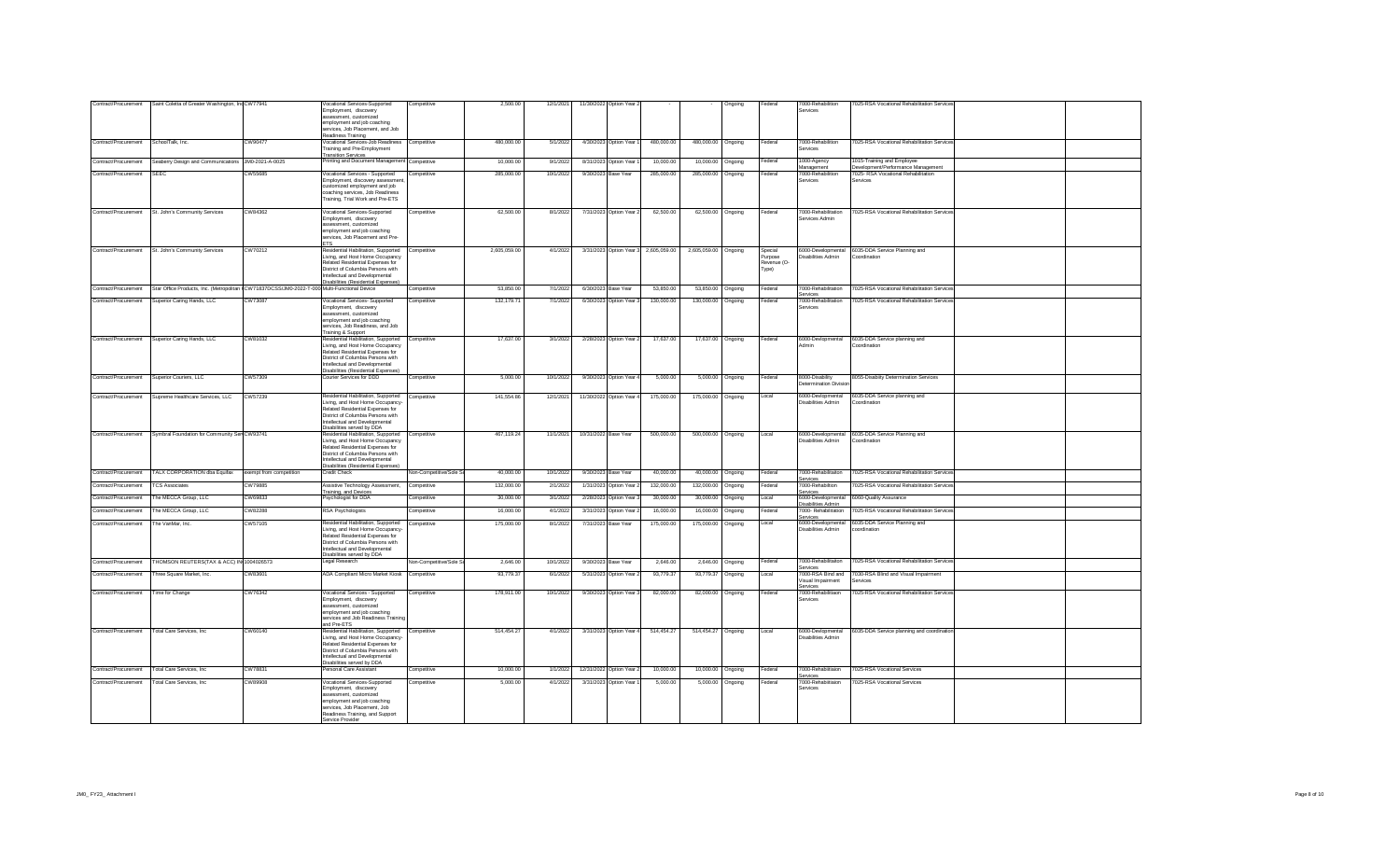| Contract/Procurement | Saint Coletta of Greater Washington, Inc CW77941                                            |                         | Vocational Services-Supported<br>Employment, discovery                             | Competitive             | 2,500.00     | 12/1/2021 | 11/30/2022 Option Year 2 |                                      |                      | Ongoing           | Federal           | 7000-Rehabilition<br>Services          | 7025-RSA Vocational Rehabilitation Services                      |  |
|----------------------|---------------------------------------------------------------------------------------------|-------------------------|------------------------------------------------------------------------------------|-------------------------|--------------|-----------|--------------------------|--------------------------------------|----------------------|-------------------|-------------------|----------------------------------------|------------------------------------------------------------------|--|
|                      |                                                                                             |                         | assessment, customized<br>employment and job coaching                              |                         |              |           |                          |                                      |                      |                   |                   |                                        |                                                                  |  |
|                      |                                                                                             |                         | services, Job Placement, and Job                                                   |                         |              |           |                          |                                      |                      |                   |                   |                                        |                                                                  |  |
|                      |                                                                                             |                         | Readiness Training                                                                 |                         |              |           |                          |                                      |                      |                   |                   |                                        |                                                                  |  |
| Contract/Procurement | SchoolTalk, Inc.                                                                            | CW90477                 | Vocational Services-Job Readiness Competitive<br>Training and Pre-Employment       |                         | 480,000.00   | 5/1/2022  | 4/30/2023 Option Year    | 480,000.00                           | 480,000.00 Ongoing   |                   | Federal           | 7000-Rehabilition                      | 7025-RSA Vocational Rehabilitation Services                      |  |
|                      |                                                                                             |                         | <b>Transition Services</b>                                                         |                         |              |           |                          |                                      |                      |                   |                   | Services                               |                                                                  |  |
| Contract/Procurement | Seaberry Design and Communications JM0-2021-A-0025                                          |                         | Printing and Document Management Competitive                                       |                         | 10,000.00    | 9/1/2022  | 8/31/2023 Option Year    | 10,000.00                            | 10,000.00            | Ongoing           | Federal           | 1000-Agency<br>Management              | 1015-Training and Employee<br>Development/Performance Management |  |
| Contract/Procurement | SFFC                                                                                        | CW55685                 | Vocational Services - Supported                                                    | Competitive             | 285,000.00   | 10/1/2022 | 9/30/2023 Base Year      | 285,000.00                           | 285,000.00           | Ongoing           | Federal           | 7000-Rehabilition                      | 7025- RSA Vocational Rehabilitation                              |  |
|                      |                                                                                             |                         | Employment, discovery assessmer                                                    |                         |              |           |                          |                                      |                      |                   |                   | anvions                                | Services                                                         |  |
|                      |                                                                                             |                         | customized employment and job<br>coaching services, Job Readiness                  |                         |              |           |                          |                                      |                      |                   |                   |                                        |                                                                  |  |
|                      |                                                                                             |                         | Training, Trial Work and Pre-ETS                                                   |                         |              |           |                          |                                      |                      |                   |                   |                                        |                                                                  |  |
|                      | Contract/Procurement St. John's Community Services                                          | CW84362                 | Vocational Services-Supported                                                      | Competitive             | 62,500.00    | 8/1/2022  | 7/31/2023 Option Year 2  | 62,500.00                            |                      | 62,500.00 Ongoing | Federal           | 7000-Rehabilitation                    | 7025-RSA Vocational Rehabilitation Service                       |  |
|                      |                                                                                             |                         | Employment, discovery                                                              |                         |              |           |                          |                                      |                      |                   |                   | Services Admin                         |                                                                  |  |
|                      |                                                                                             |                         | assessment, customized                                                             |                         |              |           |                          |                                      |                      |                   |                   |                                        |                                                                  |  |
|                      |                                                                                             |                         | employment and job coaching<br>services, Job Placement and Pre-                    |                         |              |           |                          |                                      |                      |                   |                   |                                        |                                                                  |  |
|                      |                                                                                             |                         | <b>ETS</b>                                                                         |                         |              |           |                          |                                      |                      |                   |                   |                                        |                                                                  |  |
| Contract/Procurement | St. John's Community Services                                                               | CW70212                 | Residential Habilitation, Supported<br>Living, and Host Home Occupancy             | Competitive             | 2,605,059.00 | 4/1/2022  |                          | 3/31/2023 Option Year 3 2,605,059.00 | 2,605,059.00 Ongoing |                   | Special<br>urpose | Disabilities Admin                     | 6000-Developmental 6035-DDA Service Planning and<br>Coordination |  |
|                      |                                                                                             |                         | Related Residential Expenses for                                                   |                         |              |           |                          |                                      |                      |                   | Revenue (O-       |                                        |                                                                  |  |
|                      |                                                                                             |                         | District of Columbia Persons with                                                  |                         |              |           |                          |                                      |                      |                   | Type)             |                                        |                                                                  |  |
|                      |                                                                                             |                         | Intellectual and Developmental<br>Disabilities (Residential Expenses)              |                         |              |           |                          |                                      |                      |                   |                   |                                        |                                                                  |  |
| Contract/Procurement | Star Office Products, Inc. (Metropolitan CW71837DCSS/JM0-2022-T-000 Multi-Functional Device |                         |                                                                                    | Competitive             | 53.850.00    | 7/1/2022  | 6/30/2023 Base Year      | 53,850.00                            | 53,850.00 Ongoing    |                   | Federal           | 7000-Rehabilitation                    | 7025-RSA Vocational Rehabilitation Service                       |  |
| Contract/Procurement | Superior Caring Hands, LLC                                                                  | CW73087                 | Vocational Services- Supported                                                     | Competitive             | 132 179 71   | 7/1/2022  | 6/30/2023 Option Year 3  | 130,000.00                           | 130.000.00 Ongoing   |                   | Federal           | Services<br>7000-Rehabilitation        | 7025-RSA Vocational Rehabilitation Service                       |  |
|                      |                                                                                             |                         | Employment, discovery                                                              |                         |              |           |                          |                                      |                      |                   |                   | Services                               |                                                                  |  |
|                      |                                                                                             |                         | assessment, customized                                                             |                         |              |           |                          |                                      |                      |                   |                   |                                        |                                                                  |  |
|                      |                                                                                             |                         | employment and job coaching<br>services, Job Readiness, and Job                    |                         |              |           |                          |                                      |                      |                   |                   |                                        |                                                                  |  |
|                      |                                                                                             |                         | Training & Support                                                                 |                         |              |           |                          |                                      |                      |                   |                   |                                        |                                                                  |  |
| Contract/Procurement | Superior Caring Hands, LLC                                                                  | CW81032                 | Residential Habilitation, Supported                                                | Competitive             | 17,637.00    | 3/1/2022  | 2/28/2023 Option Year 2  | 17,637.00                            |                      | 17,637.00 Ongoing | Federal           | 6000-Devlopmental                      | 6035-DDA Service planning and                                    |  |
|                      |                                                                                             |                         | Living, and Host Home Occupancy<br>Related Residential Expenses for                |                         |              |           |                          |                                      |                      |                   |                   | Admin                                  | Coordination                                                     |  |
|                      |                                                                                             |                         | District of Columbia Persons with                                                  |                         |              |           |                          |                                      |                      |                   |                   |                                        |                                                                  |  |
|                      |                                                                                             |                         | Intellectual and Developmental                                                     |                         |              |           |                          |                                      |                      |                   |                   |                                        |                                                                  |  |
| Contract/Procurement | Superior Couriers, LLC                                                                      | CW57309                 | Disabilities (Residential Expenses)<br>Courier Services for DDD                    | Competitive             | 5,000.00     | 10/1/2022 | 9/30/2023 Option Year    | 5,000.00                             |                      | 5,000.00 Ongoing  | Federal           | 8000-Disability                        | 8055-Disabiity Determination Services                            |  |
|                      |                                                                                             |                         |                                                                                    |                         |              |           |                          |                                      |                      |                   |                   | termination Divisi                     |                                                                  |  |
| Contract/Procurement | Supreme Healthcare Services, LLC                                                            | CW57239                 | Residential Habilitation, Supported                                                | Competitive             | 141,554.86   | 12/1/202  | 11/30/2022 Option Year   | 175,000.00                           | 175,000.00 Ongoing   |                   | Local             | 6000-Devlopmental                      | 6035-DDA Service planning and                                    |  |
|                      |                                                                                             |                         | Living, and Host Home Occupancy-                                                   |                         |              |           |                          |                                      |                      |                   |                   | Disabilities Admin                     | Coordination                                                     |  |
|                      |                                                                                             |                         | Related Residential Expenses for<br>District of Columbia Persons with              |                         |              |           |                          |                                      |                      |                   |                   |                                        |                                                                  |  |
|                      |                                                                                             |                         | ntellectual and Developmental                                                      |                         |              |           |                          |                                      |                      |                   |                   |                                        |                                                                  |  |
|                      |                                                                                             |                         | Disabilities served by DDA                                                         |                         |              |           |                          |                                      |                      |                   |                   |                                        |                                                                  |  |
| Contract/Procurement | Symbral Foundation for Community Ser CW93741                                                |                         | Residential Habilitation, Supported Competitive<br>Living, and Host Home Occupancy |                         | 467 119 24   | 11/1/2021 | 10/31/2022 Base Year     | 500,000.00                           | 500,000.00 Ongoing   |                   | Local             | Disabilities Admin                     | 6000-Developmental 6035-DDA Service Planning and<br>Coordination |  |
|                      |                                                                                             |                         | Related Residential Expenses for                                                   |                         |              |           |                          |                                      |                      |                   |                   |                                        |                                                                  |  |
|                      |                                                                                             |                         | District of Columbia Persons with<br>Intellectual and Developmental                |                         |              |           |                          |                                      |                      |                   |                   |                                        |                                                                  |  |
|                      |                                                                                             |                         | Disabilities (Residential Expenses)                                                |                         |              |           |                          |                                      |                      |                   |                   |                                        |                                                                  |  |
| Contract/Procurement | TALX CORPORATION dba Equifax                                                                | exempt from competition | Credit Check                                                                       | Non-Competitive/Sole \$ | 40.000.00    | 10/1/2022 | 9/30/2023 Base Year      | 40,000.00                            | 40,000.00 Ongoing    |                   | Federal           | 7000-Rehabilitaiton                    | 7025-RSA Vocational Rehabilitation Service                       |  |
| Contract/Procurement | <b>TCS Associates</b>                                                                       | CW79885                 | Assistive Technology Assessment,                                                   | Competitive             | 132,000.00   | 2/1/2022  | 1/31/2023 Option Year 2  | 132,000.00                           | 132,000.00           | Ongoing           | Federal           | Services<br>7000-Rehabiltion           | 7025-RSA Vocational Rehabilitation Service                       |  |
|                      |                                                                                             | CW69833                 | Training, and Devices<br><sup>2</sup> sychologist for DDA                          | Competitive             | 30,000.00    |           |                          | 30,000.00                            | 30,000.00            |                   | Local             | services<br>6000-Developmental         | 6060-Quality Assurance                                           |  |
| Contract/Procurement | The MECCA Group, LLC                                                                        |                         |                                                                                    |                         |              | 3/1/2022  | 2/28/2023 Option Year:   |                                      |                      | Ongoing           |                   | Disabilities Admin                     |                                                                  |  |
| Contract/Procurement | The MECCA Group, LLC                                                                        | CW82288                 | <b>RSA Psychologists</b>                                                           | Competitive             | 16,000.00    | 4/1/2022  | 3/31/2023 Option Year:   | 16,000.00                            | 16,000.00            | Ongoing           | Federal           | 7000- Rehabilitation<br>Services       | 7025-RSA Vocational Rehabilitation Service                       |  |
| Contract/Procurement | The VanMar, Inc.                                                                            | CW57105                 | Residential Habilitation, Supported                                                | Competitive             | 175,000.00   | 8/1/2022  | 7/31/2023 Base Year      | 175,000.00                           | 175,000.00           | Ongoing           | Local             | 6000-Developmental                     | 6035-DDA Service Planning and                                    |  |
|                      |                                                                                             |                         | Living, and Host Home Occupancy-<br>Related Residential Expenses for               |                         |              |           |                          |                                      |                      |                   |                   | Disabilities Admin                     | coordination                                                     |  |
|                      |                                                                                             |                         | District of Columbia Persons with                                                  |                         |              |           |                          |                                      |                      |                   |                   |                                        |                                                                  |  |
|                      |                                                                                             |                         | Intellectual and Developmental                                                     |                         |              |           |                          |                                      |                      |                   |                   |                                        |                                                                  |  |
| Contract/Procurement | THOMSON REUTERS(TAX & ACC) IN 1004026573                                                    |                         | Disabilities served by DDA<br>egal Research                                        | Non-Competitive/Sole \$ | 2,646.00     | 10/1/2022 | 9/30/2023 Base Year      | 2,646.00                             |                      | 2,646.00 Ongoing  | Federal           | 7000-Rehabilitaiton                    | 7025-RSA Vocational Rehabilitation Service                       |  |
|                      |                                                                                             |                         |                                                                                    |                         |              |           |                          |                                      |                      |                   |                   |                                        |                                                                  |  |
| Contract/Procurement | Three Square Market, Inc.                                                                   | CW83601                 | ADA Compliant Micro Market Kiosk                                                   | Competitive             | 93,779.37    | 6/1/2022  | 5/31/2023 Option Year:   | 93,779.37                            | 93.779.37 Ongoing    |                   | ocal              | '000-RSA Bind and<br>Visual Impairment | 7030-RSA Blind and Visual Impairment<br>Services                 |  |
|                      |                                                                                             |                         |                                                                                    |                         |              |           |                          |                                      |                      |                   |                   | Services                               |                                                                  |  |
| Contract/Procurement | Time for Change                                                                             | CW76342                 | Vocational Services - Supported<br>Employment, discovery                           | Competitive             | 178,911.00   | 10/1/2022 | 9/30/2023 Option Year:   | 82,000.00                            |                      | 82,000.00 Ongoing | Federal           | 7000-Rehabilitiaon<br>Services         | 7025-RSA Vocational Rehabilitation Services                      |  |
|                      |                                                                                             |                         | assessment, customized                                                             |                         |              |           |                          |                                      |                      |                   |                   |                                        |                                                                  |  |
|                      |                                                                                             |                         | employment and job coaching                                                        |                         |              |           |                          |                                      |                      |                   |                   |                                        |                                                                  |  |
|                      |                                                                                             |                         | services and Job Readiness Training<br>and Pre-FTS                                 |                         |              |           |                          |                                      |                      |                   |                   |                                        |                                                                  |  |
| Contract/Procurement | <b>Total Care Services, Inc.</b>                                                            | CW60140                 | Residential Habilitation, Supported Competitive                                    |                         | 514.454.27   | 4/1/2022  | 3/31/2023 Option Year 4  | 514,454.27                           | 514,454.27 Ongoing   |                   | Local             | 6000-Devlopmental                      | 6035-DDA Service planning and coordinatio                        |  |
|                      |                                                                                             |                         | Living, and Host Home Occupancy-<br>Related Residential Expenses for               |                         |              |           |                          |                                      |                      |                   |                   | Disabilities Admin                     |                                                                  |  |
|                      |                                                                                             |                         | District of Columbia Persons with                                                  |                         |              |           |                          |                                      |                      |                   |                   |                                        |                                                                  |  |
|                      |                                                                                             |                         | Intellectual and Developmental                                                     |                         |              |           |                          |                                      |                      |                   |                   |                                        |                                                                  |  |
| Contract/Procurement | Total Care Services, Inc.                                                                   | CW78831                 | Disabilities served by DDA<br>Personal Care Assistan                               | Competitive             | 10,000.00    | 1/1/2022  | 12/31/2022 Option Year:  | 10,000.00                            | 10,000.00            | Ongoing           | Federal           | 7000-Rehabiitiaion                     | 7025-RSA Vocational Services                                     |  |
|                      |                                                                                             |                         |                                                                                    |                         |              |           |                          |                                      |                      |                   |                   | Services                               |                                                                  |  |
| Contract/Procurement | Total Care Services, Inc.                                                                   | CW89908                 | Vocational Services-Supported<br>Employment, discovery                             | Competitive             | 5,000.00     | 4/1/2022  | 3/31/2023 Option Year    | 5,000.00                             | 5.000.00             | Ongoing           | ederal            | 7000-Rehabiitiaion<br>services         | 7025-RSA Vocational Services                                     |  |
|                      |                                                                                             |                         | ssessment, customized                                                              |                         |              |           |                          |                                      |                      |                   |                   |                                        |                                                                  |  |
|                      |                                                                                             |                         | employment and job coaching<br>services, Job Placement, Job                        |                         |              |           |                          |                                      |                      |                   |                   |                                        |                                                                  |  |
|                      |                                                                                             |                         | Readiness Training, and Support                                                    |                         |              |           |                          |                                      |                      |                   |                   |                                        |                                                                  |  |
|                      |                                                                                             |                         | Service Provider                                                                   |                         |              |           |                          |                                      |                      |                   |                   |                                        |                                                                  |  |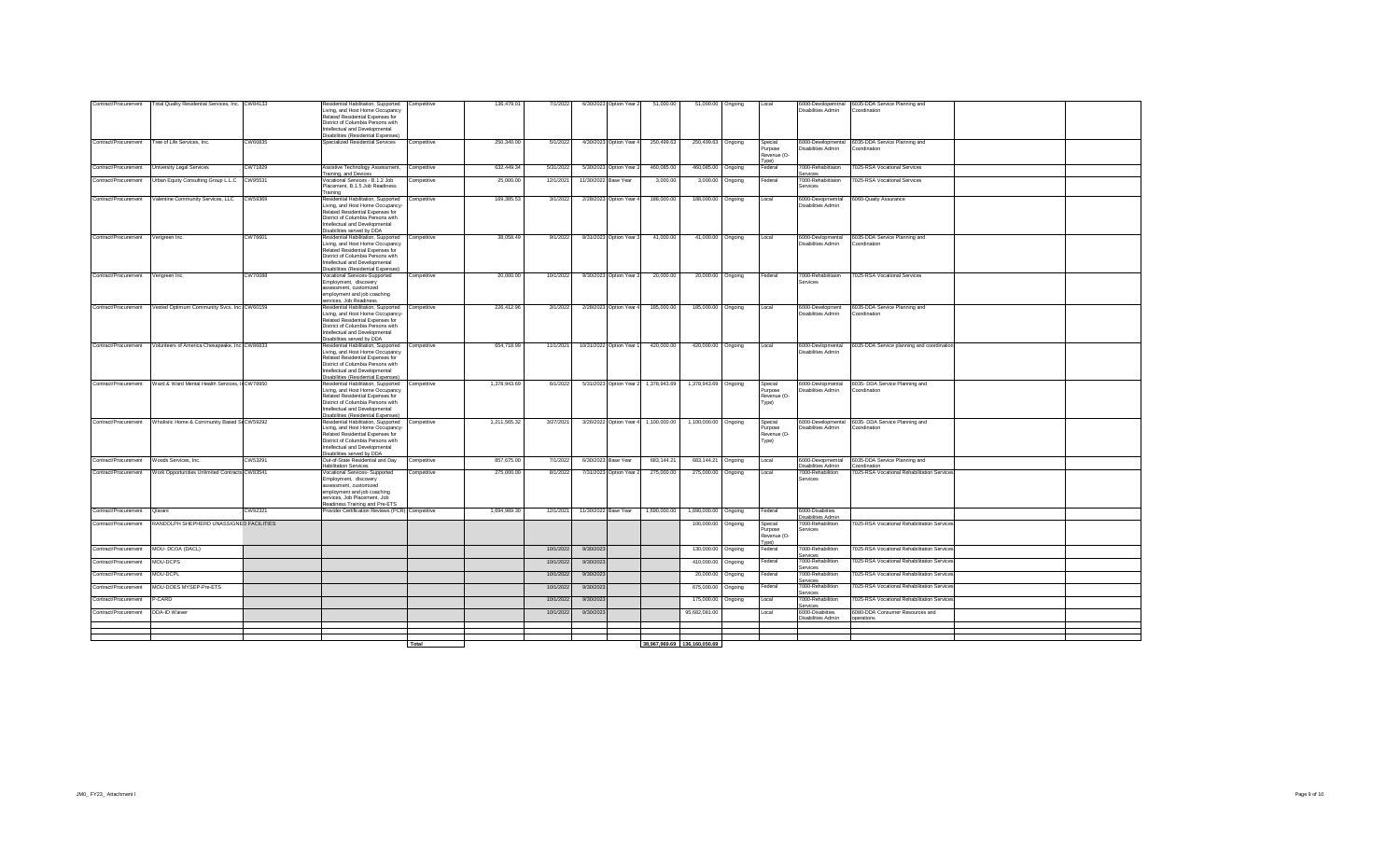| Contract/Procurement | Total Quality Residential Services, Inc. CW84133 |         | Residential Habilitation, Supported<br>Living, and Host Home Occupancy<br>Related Residential Expenses for<br>District of Columbia Persons with<br>ntellectual and Developmental                                                     | Competitive | 136,479.01   | 7/1/2022  |                      | 6/30/2023 Option Year 2  | 51,000.00    | 51,000.00 Ongoing            |         | Local                                      | Disabilities Admin                            | 6000-Devolopemtnal 6035-DDA Service Planning and<br>Coordination  |  |
|----------------------|--------------------------------------------------|---------|--------------------------------------------------------------------------------------------------------------------------------------------------------------------------------------------------------------------------------------|-------------|--------------|-----------|----------------------|--------------------------|--------------|------------------------------|---------|--------------------------------------------|-----------------------------------------------|-------------------------------------------------------------------|--|
|                      |                                                  |         | Disabilities (Residential Expenses)                                                                                                                                                                                                  |             |              |           |                      |                          |              |                              |         |                                            |                                               |                                                                   |  |
| Contract/Procurement | Tree of Life Services, Inc.                      | CW60835 | Specialized Residential Services                                                                                                                                                                                                     | Competitive | 250,340.00   | 5/1/2022  |                      | 4/30/2023 Option Year 4  | 250,499.63   | 250,499.63 Ongoing           |         | Special<br>Purpose<br>Revenue (O-<br>(vpe  | Disabilities Admin                            | 6000-Developmental 6035-DDA Service Planning and<br>Coordination  |  |
| Contract/Procurement | University Legal Services                        | CW71829 | Assistive Technology Assessment, Competitive<br><b>Training, and Devices</b>                                                                                                                                                         |             | 632,449.34   | 5/31/2022 |                      | 5/30/2023 Option Year 3  | 460,085.00   | 460,085.00 Ongoing           |         | Federal                                    | 7000-Rehabiitiaion<br>Services                | 7025-RSA Vocational Services                                      |  |
| Contract/Procurement | Urban Equity Consulting Group L.L.C CW95531      |         | Vocational Services - B.1.2 Job<br>Placement, B.1.5 Job Readiness<br>Training                                                                                                                                                        | Competitive | 25,000.00    | 12/1/2021 | 11/30/2022 Base Year |                          | 3,000.00     | 3.000.00                     | Ongoing | Federal                                    | 7000-Rehabiitiaion<br>Services                | 7025-RSA Vocational Services                                      |  |
| Contract/Procurement | Valentine Community Services, LLC                | CW59369 | Residential Habilitation, Supported<br>iving, and Host Home Occupancy-<br>Related Residential Expenses for<br>District of Columbia Persons with<br>ntellectual and Developmental<br>Disabilities served by DDA                       | Competitive | 169,385.53   | 3/1/2022  |                      | 2/28/2023 Option Year    | 188,000.00   | 188,000.00 Ongoing           |         | Local                                      | 6000-Devopmemtal<br><b>Disabilities Admin</b> | 6060-Quaity Assurance                                             |  |
| Contract/Procurement | Verigreen Inc.                                   | CW76601 | Residential Habilitation, Supported Competitive<br>Living, and Host Home Occupancy<br>Related Residential Expenses for<br>District of Columbia Persons with<br>Intellectual and Developmental<br>Disabilities (Residential Expenses) |             | 38,058.49    | 9/1/2022  |                      | 8/31/2023 Option Year 3  | 41,000.00    | 41,000.00 Ongoing            |         | Local                                      | 6000-Devlopmental<br>Disabilities Admin       | 6035-DDA Service Planning and<br>Coordination                     |  |
| Contract/Procurement | Verigreen Inc.                                   | CW70088 | <b>Vocational Services-Supported</b><br>Employment, discovery<br>assessment, customized<br>employment and job coaching<br>services, Job Readiness                                                                                    | Competitive | 20,000.00    | 10/1/2022 |                      | 9/30/2023 Option Year 3  | 20,000.00    | 20,000.00 Ongoing            |         | Federal                                    | 7000-Rehabiitiaion<br>Services                | 7025-RSA Vocational Services                                      |  |
| Contract/Procurement | Vested Optimum Community Svcs. Inc. CW60159      |         | Residential Habilitation, Supported Competitive<br>Living, and Host Home Occupancy-<br>Related Residential Expenses for<br>District of Columbia Persons with<br>Intellectual and Developmental<br>Disabilities served by DDA         |             | 226,412.96   | 3/1/2022  |                      | 2/28/2023 Option Year 4  | 185,000.00   | 185,000.00 Ongoing           |         | Local                                      | 6000-Development<br>Disabilities Admin        | 6035-DDA Service Planning and<br>Coordination                     |  |
| Contract/Procurement | Volunteers of America Chesapeake, Inc. CW86833   |         | Residential Habilitation, Supported<br>Living, and Host Home Occupancy<br>Related Residential Expenses for<br>District of Columbia Persons with<br>ntellectual and Developmental<br>Disabilities (Residential Expenses)              | Competitive | 654,718.99   | 11/1/2021 |                      | 10/31/2022 Option Year 1 | 420,000.00   | 420,000.00 Ongoing           |         | Local                                      | 6000-Devlopmental<br>Disabilities Admin       | 6035-DDA Service planning and coordination                        |  |
| Contract/Procurement | Ward & Ward Mental Health Services, In CW78950   |         | Residential Habilitation, Supported Competitive<br>iving, and Host Home Occupancy<br>Related Residential Expenses for<br>District of Columbia Persons with<br>ntellectual and Developmental<br>Disabilities (Residential Expenses)   |             | 1,378,943.69 | 6/1/2022  |                      | 5/31/2023 Option Year 2  | 1,378,943.69 | 1,378,943.69 Ongoing         |         | Special<br>Purpose<br>Revenue (O-<br>Type) | 6000-Devlopmental<br>Disabilities Admin       | 6035- DDA Service Planning and<br>Coordination                    |  |
| Contract/Procurement | Wholistic Home & Community Based S CW59292       |         | Residential Habilitation, Supported Competitive<br>Living, and Host Home Occupancy-<br>Related Residential Expenses for<br>District of Columbia Persons with<br>Intellectual and Developmental<br>Disabilities served by DDA         |             | 1,211,565.32 | 3/27/2021 |                      | 3/26/2022 Option Year 4  | 1,100,000.00 | 1,100,000.00 Ongoing         |         | Special<br>Purpose<br>Revenue (O-<br>Type) | Disabilities Admin                            | 6000-Developmental 6035- DDA Service Planning and<br>Coordination |  |
| Contract/Procurement | Woods Services Inc.                              | CW53291 | Out-of-State Residential and Day<br><b>Habilitation Services</b>                                                                                                                                                                     | Competitive | 857.675.00   | 7/1/2022  |                      | 6/30/2023 Base Year      | 683.144.21   | 683.144.21                   | Ongoing | Local                                      | 6000-Devopmemtal<br>Disabilities Admin        | 6035-DDA Service Planning and<br>Coordination                     |  |
| Contract/Procurement | Work Opportunities Unlimited Contracts CW83541   |         | <b>Vocational Services- Supported</b><br>Employment, discovery<br>ssessment, customized<br>employment and job coaching<br>services, Job Placement, Job<br>Readiness Training and Pre-ETS                                             | Competitive | 275,000.00   | 8/1/2022  |                      | 7/31/2023 Option Year    | 275,000.00   | 275,000.00                   | Onaoina | Local                                      | 7000-Rehabilition<br>Services                 | 7025-RSA Vocational Rehabilitation Services                       |  |
| Contract/Procurement | Qlarant                                          | CW92321 | Provider Certification Reviews (PCR) Competitive                                                                                                                                                                                     |             | 1,694,989.30 | 12/1/2021 | 11/30/2022 Base Year |                          | 1,690,000.00 | 1,690,000.00 Ongoing         |         | Federal                                    | 6000-Disabiities<br>Disabilities Admin        |                                                                   |  |
| Contract/Procurement | RANDOLPH SHEPHERD UNASSIGNED FACILITIES          |         |                                                                                                                                                                                                                                      |             |              |           |                      |                          |              | 100,000.00                   | Ongoing | Special<br>Purpose<br>Revenue (O-<br>Type) | 7000-Rehabilition<br>Services                 | 7025-RSA Vocational Rehabilitation Services                       |  |
| Contract/Procurement | MOU- DCOA (DACL)                                 |         |                                                                                                                                                                                                                                      |             |              | 10/1/2022 | 9/30/2023            |                          |              | 130,000.00                   | Ongoing | Federal                                    | 7000-Rehabilition<br>services                 | 7025-RSA Vocational Rehabilitation Services                       |  |
| Contract/Procurement | MOU-DCPS                                         |         |                                                                                                                                                                                                                                      |             |              | 10/1/2022 | 9/30/2023            |                          |              | 410,000.00                   | Ongoing | Federal                                    | 7000-Rehabilition<br>anvices                  | 7025-RSA Vocational Rehabilitation Services                       |  |
| Contract/Procurement | MOU-DCPL                                         |         |                                                                                                                                                                                                                                      |             |              | 10/1/2022 | 9/30/2023            |                          |              | 20,000.00                    | Onaoina | Federal                                    | 7000-Rehabilition<br>Services                 | 7025-RSA Vocational Rehabilitation Services                       |  |
| Contract/Procurement | MOU-DOES MYSEP-Pre-ETS                           |         |                                                                                                                                                                                                                                      |             |              | 10/1/2022 | 9/30/2023            |                          |              | 675,000.00                   | Ongoing | Federal                                    | 7000-Rehabilition<br>Services                 | 7025-RSA Vocational Rehabilitation Services                       |  |
| Contract/Procurement | P-CARD                                           |         |                                                                                                                                                                                                                                      |             |              | 10/1/2022 | 9/30/2023            |                          |              | 175,000.00                   | Ongoing | Local                                      | 7000-Rehabilition<br>Services                 | 7025-RSA Vocational Rehabilitation Services                       |  |
| Contract/Procurement | DDA-ID Waiver                                    |         |                                                                                                                                                                                                                                      |             |              | 10/1/2022 | 9/30/2023            |                          |              | 95,682,081.00                |         | Local                                      | 6000-Disabiities<br>Disabilities Admin        | 6080-DDA Consumer Resources and<br>pperations                     |  |
|                      |                                                  |         |                                                                                                                                                                                                                                      |             |              |           |                      |                          |              |                              |         |                                            |                                               |                                                                   |  |
|                      |                                                  |         |                                                                                                                                                                                                                                      |             |              |           |                      |                          |              |                              |         |                                            |                                               |                                                                   |  |
|                      |                                                  |         |                                                                                                                                                                                                                                      | Total       |              |           |                      |                          |              | 38,967,969.69 136,160,050.69 |         |                                            |                                               |                                                                   |  |